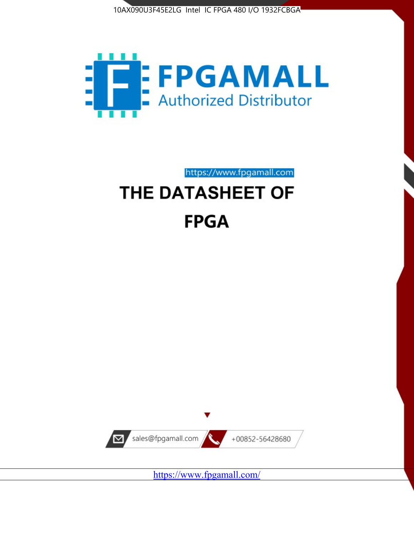



https://www.fpgamall.com

# THE DATASHEET OF **FPGA**



<https://www.fpgamall.com/>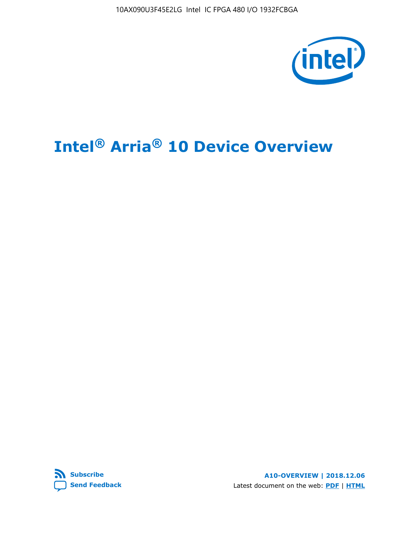10AX090U3F45E2LG Intel IC FPGA 480 I/O 1932FCBGA



# **Intel® Arria® 10 Device Overview**



**A10-OVERVIEW | 2018.12.06** Latest document on the web: **[PDF](https://www.intel.com/content/dam/www/programmable/us/en/pdfs/literature/hb/arria-10/a10_overview.pdf)** | **[HTML](https://www.intel.com/content/www/us/en/programmable/documentation/sam1403480274650.html)**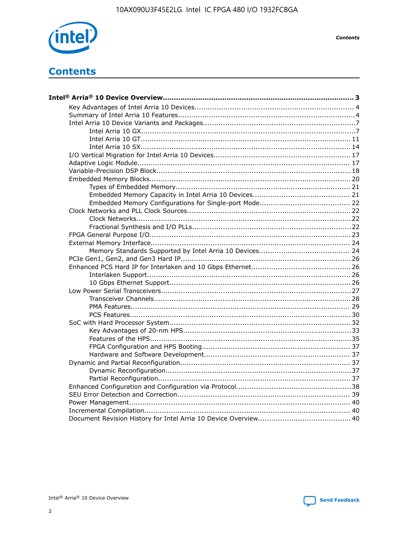

**Contents** 

# **Contents**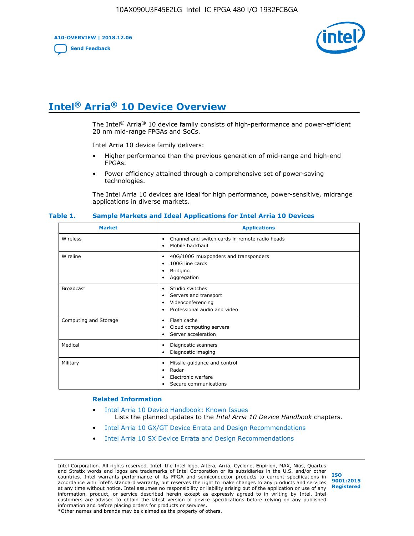**A10-OVERVIEW | 2018.12.06**

**[Send Feedback](mailto:FPGAtechdocfeedback@intel.com?subject=Feedback%20on%20Intel%20Arria%2010%20Device%20Overview%20(A10-OVERVIEW%202018.12.06)&body=We%20appreciate%20your%20feedback.%20In%20your%20comments,%20also%20specify%20the%20page%20number%20or%20paragraph.%20Thank%20you.)**



# **Intel® Arria® 10 Device Overview**

The Intel<sup>®</sup> Arria<sup>®</sup> 10 device family consists of high-performance and power-efficient 20 nm mid-range FPGAs and SoCs.

Intel Arria 10 device family delivers:

- Higher performance than the previous generation of mid-range and high-end FPGAs.
- Power efficiency attained through a comprehensive set of power-saving technologies.

The Intel Arria 10 devices are ideal for high performance, power-sensitive, midrange applications in diverse markets.

| <b>Market</b>         | <b>Applications</b>                                                                                               |
|-----------------------|-------------------------------------------------------------------------------------------------------------------|
| Wireless              | Channel and switch cards in remote radio heads<br>٠<br>Mobile backhaul<br>٠                                       |
| Wireline              | 40G/100G muxponders and transponders<br>٠<br>100G line cards<br>٠<br><b>Bridging</b><br>٠<br>Aggregation<br>٠     |
| <b>Broadcast</b>      | Studio switches<br>٠<br>Servers and transport<br>٠<br>Videoconferencing<br>٠<br>Professional audio and video<br>٠ |
| Computing and Storage | Flash cache<br>٠<br>Cloud computing servers<br>٠<br>Server acceleration<br>٠                                      |
| Medical               | Diagnostic scanners<br>٠<br>Diagnostic imaging<br>٠                                                               |
| Military              | Missile guidance and control<br>٠<br>Radar<br>٠<br>Electronic warfare<br>٠<br>Secure communications<br>٠          |

#### **Table 1. Sample Markets and Ideal Applications for Intel Arria 10 Devices**

#### **Related Information**

- [Intel Arria 10 Device Handbook: Known Issues](http://www.altera.com/support/kdb/solutions/rd07302013_646.html) Lists the planned updates to the *Intel Arria 10 Device Handbook* chapters.
- [Intel Arria 10 GX/GT Device Errata and Design Recommendations](https://www.intel.com/content/www/us/en/programmable/documentation/agz1493851706374.html#yqz1494433888646)
- [Intel Arria 10 SX Device Errata and Design Recommendations](https://www.intel.com/content/www/us/en/programmable/documentation/cru1462832385668.html#cru1462832558642)

Intel Corporation. All rights reserved. Intel, the Intel logo, Altera, Arria, Cyclone, Enpirion, MAX, Nios, Quartus and Stratix words and logos are trademarks of Intel Corporation or its subsidiaries in the U.S. and/or other countries. Intel warrants performance of its FPGA and semiconductor products to current specifications in accordance with Intel's standard warranty, but reserves the right to make changes to any products and services at any time without notice. Intel assumes no responsibility or liability arising out of the application or use of any information, product, or service described herein except as expressly agreed to in writing by Intel. Intel customers are advised to obtain the latest version of device specifications before relying on any published information and before placing orders for products or services. \*Other names and brands may be claimed as the property of others.

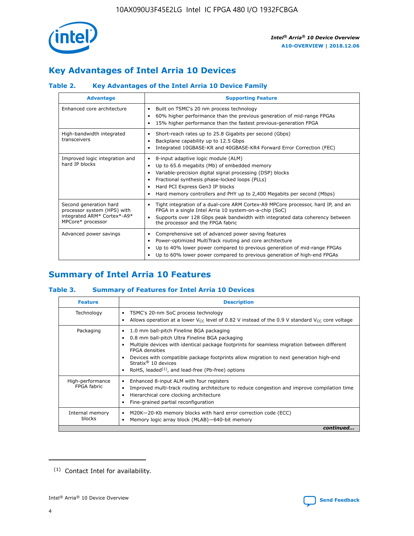

# **Key Advantages of Intel Arria 10 Devices**

# **Table 2. Key Advantages of the Intel Arria 10 Device Family**

| <b>Advantage</b>                                                                                          | <b>Supporting Feature</b>                                                                                                                                                                                                                                                                                                |  |  |  |  |  |  |
|-----------------------------------------------------------------------------------------------------------|--------------------------------------------------------------------------------------------------------------------------------------------------------------------------------------------------------------------------------------------------------------------------------------------------------------------------|--|--|--|--|--|--|
| Enhanced core architecture                                                                                | Built on TSMC's 20 nm process technology<br>٠<br>60% higher performance than the previous generation of mid-range FPGAs<br>٠<br>15% higher performance than the fastest previous-generation FPGA<br>٠                                                                                                                    |  |  |  |  |  |  |
| High-bandwidth integrated<br>transceivers                                                                 | Short-reach rates up to 25.8 Gigabits per second (Gbps)<br>٠<br>Backplane capability up to 12.5 Gbps<br>٠<br>Integrated 10GBASE-KR and 40GBASE-KR4 Forward Error Correction (FEC)<br>٠                                                                                                                                   |  |  |  |  |  |  |
| Improved logic integration and<br>hard IP blocks                                                          | 8-input adaptive logic module (ALM)<br>٠<br>Up to 65.6 megabits (Mb) of embedded memory<br>٠<br>Variable-precision digital signal processing (DSP) blocks<br>Fractional synthesis phase-locked loops (PLLs)<br>Hard PCI Express Gen3 IP blocks<br>Hard memory controllers and PHY up to 2,400 Megabits per second (Mbps) |  |  |  |  |  |  |
| Second generation hard<br>processor system (HPS) with<br>integrated ARM* Cortex*-A9*<br>MPCore* processor | Tight integration of a dual-core ARM Cortex-A9 MPCore processor, hard IP, and an<br>٠<br>FPGA in a single Intel Arria 10 system-on-a-chip (SoC)<br>Supports over 128 Gbps peak bandwidth with integrated data coherency between<br>$\bullet$<br>the processor and the FPGA fabric                                        |  |  |  |  |  |  |
| Advanced power savings                                                                                    | Comprehensive set of advanced power saving features<br>٠<br>Power-optimized MultiTrack routing and core architecture<br>٠<br>Up to 40% lower power compared to previous generation of mid-range FPGAs<br>Up to 60% lower power compared to previous generation of high-end FPGAs                                         |  |  |  |  |  |  |

# **Summary of Intel Arria 10 Features**

## **Table 3. Summary of Features for Intel Arria 10 Devices**

| <b>Feature</b>                  | <b>Description</b>                                                                                                                                                                                                                                                                                                                                                                                       |
|---------------------------------|----------------------------------------------------------------------------------------------------------------------------------------------------------------------------------------------------------------------------------------------------------------------------------------------------------------------------------------------------------------------------------------------------------|
| Technology                      | TSMC's 20-nm SoC process technology<br>٠<br>Allows operation at a lower $V_{\text{CC}}$ level of 0.82 V instead of the 0.9 V standard $V_{\text{CC}}$ core voltage                                                                                                                                                                                                                                       |
| Packaging                       | 1.0 mm ball-pitch Fineline BGA packaging<br>0.8 mm ball-pitch Ultra Fineline BGA packaging<br>Multiple devices with identical package footprints for seamless migration between different<br><b>FPGA</b> densities<br>Devices with compatible package footprints allow migration to next generation high-end<br>Stratix $\mathcal{R}$ 10 devices<br>RoHS, leaded $(1)$ , and lead-free (Pb-free) options |
| High-performance<br>FPGA fabric | Enhanced 8-input ALM with four registers<br>٠<br>Improved multi-track routing architecture to reduce congestion and improve compilation time<br>Hierarchical core clocking architecture<br>Fine-grained partial reconfiguration                                                                                                                                                                          |
| Internal memory<br>blocks       | M20K-20-Kb memory blocks with hard error correction code (ECC)<br>Memory logic array block (MLAB)-640-bit memory                                                                                                                                                                                                                                                                                         |
|                                 | continued                                                                                                                                                                                                                                                                                                                                                                                                |



<sup>(1)</sup> Contact Intel for availability.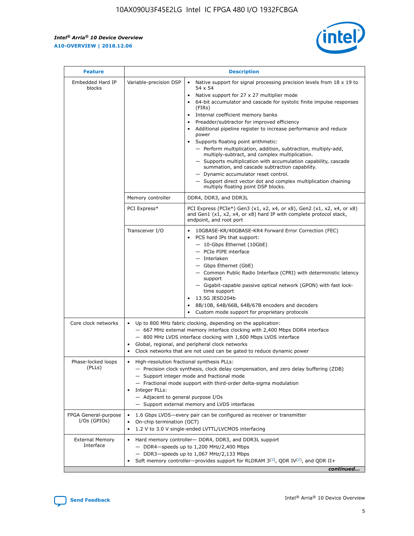$\mathsf{r}$ 



| <b>Feature</b>                         |                                                                                                                | <b>Description</b>                                                                                                                                                                                                                                                                                                                                                                                                                                                                                                                                                                                                                                                                                                                                                                                                                          |
|----------------------------------------|----------------------------------------------------------------------------------------------------------------|---------------------------------------------------------------------------------------------------------------------------------------------------------------------------------------------------------------------------------------------------------------------------------------------------------------------------------------------------------------------------------------------------------------------------------------------------------------------------------------------------------------------------------------------------------------------------------------------------------------------------------------------------------------------------------------------------------------------------------------------------------------------------------------------------------------------------------------------|
| Embedded Hard IP<br>blocks             | Variable-precision DSP                                                                                         | Native support for signal processing precision levels from $18 \times 19$ to<br>$\bullet$<br>54 x 54<br>Native support for 27 x 27 multiplier mode<br>64-bit accumulator and cascade for systolic finite impulse responses<br>(FIRs)<br>Internal coefficient memory banks<br>٠<br>Preadder/subtractor for improved efficiency<br>Additional pipeline register to increase performance and reduce<br>power<br>Supports floating point arithmetic:<br>- Perform multiplication, addition, subtraction, multiply-add,<br>multiply-subtract, and complex multiplication.<br>- Supports multiplication with accumulation capability, cascade<br>summation, and cascade subtraction capability.<br>- Dynamic accumulator reset control.<br>- Support direct vector dot and complex multiplication chaining<br>multiply floating point DSP blocks. |
|                                        | Memory controller                                                                                              | DDR4, DDR3, and DDR3L                                                                                                                                                                                                                                                                                                                                                                                                                                                                                                                                                                                                                                                                                                                                                                                                                       |
|                                        | PCI Express*                                                                                                   | PCI Express (PCIe*) Gen3 (x1, x2, x4, or x8), Gen2 (x1, x2, x4, or x8)<br>and Gen1 (x1, x2, x4, or x8) hard IP with complete protocol stack,<br>endpoint, and root port                                                                                                                                                                                                                                                                                                                                                                                                                                                                                                                                                                                                                                                                     |
|                                        | Transceiver I/O                                                                                                | 10GBASE-KR/40GBASE-KR4 Forward Error Correction (FEC)<br>PCS hard IPs that support:<br>- 10-Gbps Ethernet (10GbE)<br>- PCIe PIPE interface<br>- Interlaken<br>- Gbps Ethernet (GbE)<br>- Common Public Radio Interface (CPRI) with deterministic latency<br>support<br>- Gigabit-capable passive optical network (GPON) with fast lock-<br>time support<br>13.5G JESD204b<br>$\bullet$<br>8B/10B, 64B/66B, 64B/67B encoders and decoders<br>Custom mode support for proprietary protocols                                                                                                                                                                                                                                                                                                                                                   |
| Core clock networks                    | $\bullet$<br>$\bullet$                                                                                         | Up to 800 MHz fabric clocking, depending on the application:<br>- 667 MHz external memory interface clocking with 2,400 Mbps DDR4 interface<br>- 800 MHz LVDS interface clocking with 1,600 Mbps LVDS interface<br>Global, regional, and peripheral clock networks<br>Clock networks that are not used can be gated to reduce dynamic power                                                                                                                                                                                                                                                                                                                                                                                                                                                                                                 |
| Phase-locked loops<br>(PLLs)           | High-resolution fractional synthesis PLLs:<br>$\bullet$<br>Integer PLLs:<br>- Adjacent to general purpose I/Os | - Precision clock synthesis, clock delay compensation, and zero delay buffering (ZDB)<br>- Support integer mode and fractional mode<br>- Fractional mode support with third-order delta-sigma modulation<br>- Support external memory and LVDS interfaces                                                                                                                                                                                                                                                                                                                                                                                                                                                                                                                                                                                   |
| FPGA General-purpose<br>$I/Os$ (GPIOs) | On-chip termination (OCT)<br>$\bullet$                                                                         | 1.6 Gbps LVDS-every pair can be configured as receiver or transmitter<br>1.2 V to 3.0 V single-ended LVTTL/LVCMOS interfacing                                                                                                                                                                                                                                                                                                                                                                                                                                                                                                                                                                                                                                                                                                               |
| <b>External Memory</b><br>Interface    |                                                                                                                | Hard memory controller- DDR4, DDR3, and DDR3L support<br>$-$ DDR4 $-$ speeds up to 1,200 MHz/2,400 Mbps<br>- DDR3-speeds up to 1,067 MHz/2,133 Mbps<br>Soft memory controller—provides support for RLDRAM $3^{(2)}$ , QDR IV $(2^2)$ , and QDR II+<br>continued                                                                                                                                                                                                                                                                                                                                                                                                                                                                                                                                                                             |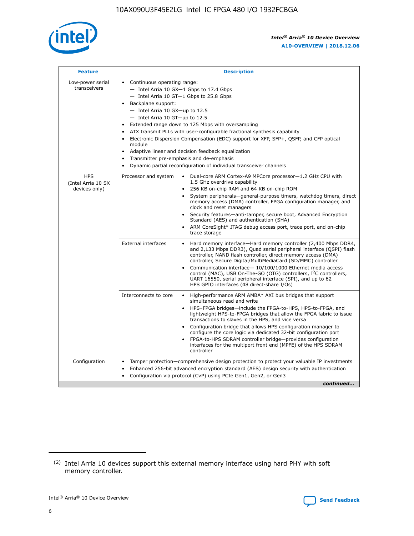

| <b>Feature</b>                                    | <b>Description</b>                                                                                                                                                                                                                                                                                                                                                                                                                                                                                                                                                                                                                         |
|---------------------------------------------------|--------------------------------------------------------------------------------------------------------------------------------------------------------------------------------------------------------------------------------------------------------------------------------------------------------------------------------------------------------------------------------------------------------------------------------------------------------------------------------------------------------------------------------------------------------------------------------------------------------------------------------------------|
| Low-power serial<br>transceivers                  | • Continuous operating range:<br>- Intel Arria 10 GX-1 Gbps to 17.4 Gbps<br>- Intel Arria 10 GT-1 Gbps to 25.8 Gbps<br>Backplane support:<br>$-$ Intel Arria 10 GX-up to 12.5<br>- Intel Arria 10 GT-up to 12.5<br>Extended range down to 125 Mbps with oversampling<br>ATX transmit PLLs with user-configurable fractional synthesis capability<br>Electronic Dispersion Compensation (EDC) support for XFP, SFP+, QSFP, and CFP optical<br>module<br>• Adaptive linear and decision feedback equalization<br>Transmitter pre-emphasis and de-emphasis<br>$\bullet$<br>Dynamic partial reconfiguration of individual transceiver channels |
| <b>HPS</b><br>(Intel Arria 10 SX<br>devices only) | Dual-core ARM Cortex-A9 MPCore processor-1.2 GHz CPU with<br>Processor and system<br>$\bullet$<br>1.5 GHz overdrive capability<br>256 KB on-chip RAM and 64 KB on-chip ROM<br>System peripherals-general-purpose timers, watchdog timers, direct<br>memory access (DMA) controller, FPGA configuration manager, and<br>clock and reset managers<br>Security features-anti-tamper, secure boot, Advanced Encryption<br>$\bullet$<br>Standard (AES) and authentication (SHA)<br>ARM CoreSight* JTAG debug access port, trace port, and on-chip<br>trace storage                                                                              |
|                                                   | <b>External interfaces</b><br>Hard memory interface-Hard memory controller (2,400 Mbps DDR4,<br>$\bullet$<br>and 2,133 Mbps DDR3), Quad serial peripheral interface (QSPI) flash<br>controller, NAND flash controller, direct memory access (DMA)<br>controller, Secure Digital/MultiMediaCard (SD/MMC) controller<br>Communication interface-10/100/1000 Ethernet media access<br>$\bullet$<br>control (MAC), USB On-The-GO (OTG) controllers, I <sup>2</sup> C controllers,<br>UART 16550, serial peripheral interface (SPI), and up to 62<br>HPS GPIO interfaces (48 direct-share I/Os)                                                 |
|                                                   | High-performance ARM AMBA* AXI bus bridges that support<br>Interconnects to core<br>$\bullet$<br>simultaneous read and write<br>HPS-FPGA bridges-include the FPGA-to-HPS, HPS-to-FPGA, and<br>$\bullet$<br>lightweight HPS-to-FPGA bridges that allow the FPGA fabric to issue<br>transactions to slaves in the HPS, and vice versa<br>Configuration bridge that allows HPS configuration manager to<br>configure the core logic via dedicated 32-bit configuration port<br>FPGA-to-HPS SDRAM controller bridge-provides configuration<br>interfaces for the multiport front end (MPFE) of the HPS SDRAM<br>controller                     |
| Configuration                                     | Tamper protection—comprehensive design protection to protect your valuable IP investments<br>Enhanced 256-bit advanced encryption standard (AES) design security with authentication<br>٠<br>Configuration via protocol (CvP) using PCIe Gen1, Gen2, or Gen3<br>continued                                                                                                                                                                                                                                                                                                                                                                  |

<sup>(2)</sup> Intel Arria 10 devices support this external memory interface using hard PHY with soft memory controller.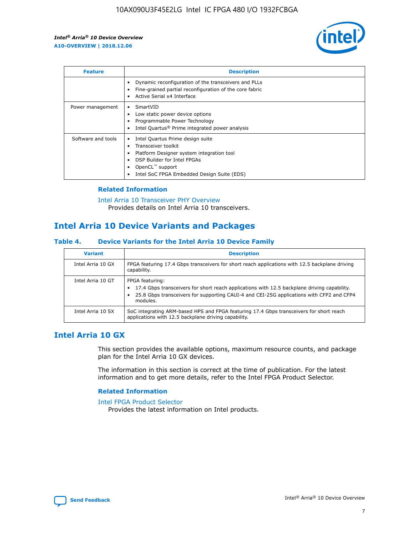

| <b>Feature</b>     | <b>Description</b>                                                                                                                                                                                                            |
|--------------------|-------------------------------------------------------------------------------------------------------------------------------------------------------------------------------------------------------------------------------|
|                    | Dynamic reconfiguration of the transceivers and PLLs<br>Fine-grained partial reconfiguration of the core fabric<br>Active Serial x4 Interface<br>$\bullet$                                                                    |
| Power management   | SmartVID<br>Low static power device options<br>Programmable Power Technology<br>Intel Quartus <sup>®</sup> Prime integrated power analysis                                                                                    |
| Software and tools | Intel Quartus Prime design suite<br>Transceiver toolkit<br>$\bullet$<br>Platform Designer system integration tool<br>DSP Builder for Intel FPGAs<br>OpenCL <sup>™</sup> support<br>Intel SoC FPGA Embedded Design Suite (EDS) |

## **Related Information**

[Intel Arria 10 Transceiver PHY Overview](https://www.intel.com/content/www/us/en/programmable/documentation/nik1398707230472.html#nik1398706768037) Provides details on Intel Arria 10 transceivers.

# **Intel Arria 10 Device Variants and Packages**

#### **Table 4. Device Variants for the Intel Arria 10 Device Family**

| <b>Variant</b>    | <b>Description</b>                                                                                                                                                                                                     |
|-------------------|------------------------------------------------------------------------------------------------------------------------------------------------------------------------------------------------------------------------|
| Intel Arria 10 GX | FPGA featuring 17.4 Gbps transceivers for short reach applications with 12.5 backplane driving<br>capability.                                                                                                          |
| Intel Arria 10 GT | FPGA featuring:<br>17.4 Gbps transceivers for short reach applications with 12.5 backplane driving capability.<br>25.8 Gbps transceivers for supporting CAUI-4 and CEI-25G applications with CFP2 and CFP4<br>modules. |
| Intel Arria 10 SX | SoC integrating ARM-based HPS and FPGA featuring 17.4 Gbps transceivers for short reach<br>applications with 12.5 backplane driving capability.                                                                        |

# **Intel Arria 10 GX**

This section provides the available options, maximum resource counts, and package plan for the Intel Arria 10 GX devices.

The information in this section is correct at the time of publication. For the latest information and to get more details, refer to the Intel FPGA Product Selector.

#### **Related Information**

#### [Intel FPGA Product Selector](http://www.altera.com/products/selector/psg-selector.html) Provides the latest information on Intel products.

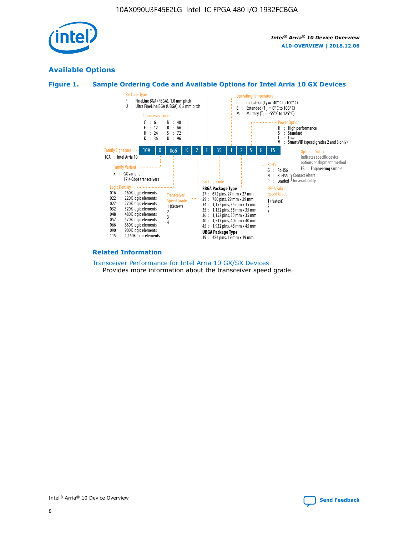

# **Available Options**





#### **Related Information**

[Transceiver Performance for Intel Arria 10 GX/SX Devices](https://www.intel.com/content/www/us/en/programmable/documentation/mcn1413182292568.html#mcn1413213965502) Provides more information about the transceiver speed grade.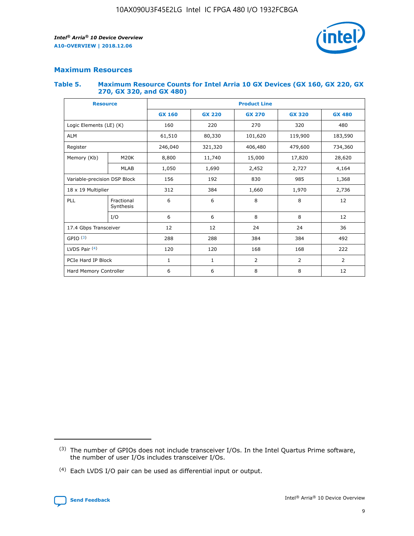

## **Maximum Resources**

#### **Table 5. Maximum Resource Counts for Intel Arria 10 GX Devices (GX 160, GX 220, GX 270, GX 320, and GX 480)**

| <b>Resource</b>              |                          | <b>Product Line</b> |                                |                |                |                |  |  |  |
|------------------------------|--------------------------|---------------------|--------------------------------|----------------|----------------|----------------|--|--|--|
|                              |                          | <b>GX 160</b>       | <b>GX 220</b><br><b>GX 270</b> |                | <b>GX 320</b>  | <b>GX 480</b>  |  |  |  |
| Logic Elements (LE) (K)      |                          | 160                 | 220                            | 270            | 320            | 480            |  |  |  |
| <b>ALM</b>                   |                          | 61,510              | 80,330                         | 101,620        | 119,900        | 183,590        |  |  |  |
| Register                     |                          | 246,040             | 321,320                        | 406,480        | 479,600        | 734,360        |  |  |  |
| Memory (Kb)                  | M <sub>20</sub> K        | 8,800               | 11,740                         | 15,000         | 17,820         | 28,620         |  |  |  |
| <b>MLAB</b>                  |                          | 1,050               | 1,690                          | 2,452          |                | 4,164          |  |  |  |
| Variable-precision DSP Block | 192<br>830<br>985<br>156 |                     |                                |                | 1,368          |                |  |  |  |
| 18 x 19 Multiplier           |                          | 312                 | 384                            | 1,660          | 1,970          | 2,736          |  |  |  |
| PLL                          | Fractional<br>Synthesis  | 6                   | 6                              | 8              | 8              | 12             |  |  |  |
|                              | I/O                      | 6                   | 6                              | 8              | 8              | 12             |  |  |  |
| 17.4 Gbps Transceiver        |                          | 12                  | 12                             | 24             | 24             |                |  |  |  |
| GPIO <sup>(3)</sup>          |                          | 288                 | 288                            | 384<br>384     |                | 492            |  |  |  |
| LVDS Pair $(4)$              |                          | 120                 | 120                            | 168            | 168            | 222            |  |  |  |
| PCIe Hard IP Block           |                          | $\mathbf{1}$        | 1                              | $\overline{2}$ | $\overline{2}$ | $\overline{2}$ |  |  |  |
| Hard Memory Controller       |                          | 6                   | 6                              | 8              | 8              | 12             |  |  |  |

<sup>(4)</sup> Each LVDS I/O pair can be used as differential input or output.



<sup>(3)</sup> The number of GPIOs does not include transceiver I/Os. In the Intel Quartus Prime software, the number of user I/Os includes transceiver I/Os.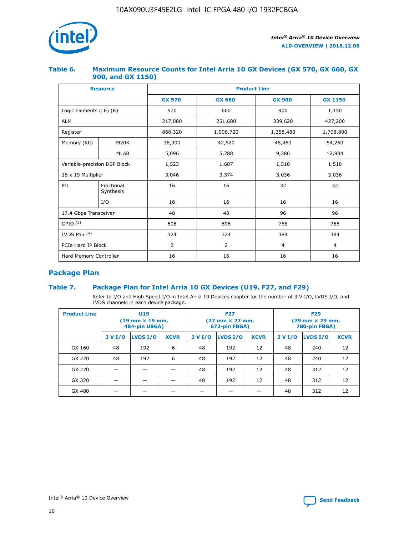

## **Table 6. Maximum Resource Counts for Intel Arria 10 GX Devices (GX 570, GX 660, GX 900, and GX 1150)**

|                              | <b>Resource</b>         | <b>Product Line</b> |                |                |                |  |  |  |
|------------------------------|-------------------------|---------------------|----------------|----------------|----------------|--|--|--|
|                              |                         | <b>GX 570</b>       | <b>GX 660</b>  |                | <b>GX 1150</b> |  |  |  |
| Logic Elements (LE) (K)      |                         | 570                 | 660            | 900            | 1,150          |  |  |  |
| <b>ALM</b>                   |                         | 217,080             | 251,680        | 339,620        | 427,200        |  |  |  |
| Register                     |                         | 868,320             | 1,006,720      | 1,358,480      | 1,708,800      |  |  |  |
| Memory (Kb)                  | <b>M20K</b>             | 36,000              | 42,620         | 48,460         | 54,260         |  |  |  |
|                              | <b>MLAB</b>             | 5,096               | 5,788          | 9,386          | 12,984         |  |  |  |
| Variable-precision DSP Block |                         | 1,523               | 1,687          | 1,518          | 1,518          |  |  |  |
| $18 \times 19$ Multiplier    |                         | 3,046               | 3,374          | 3,036          | 3,036          |  |  |  |
| PLL                          | Fractional<br>Synthesis | 16                  | 16             | 32             | 32             |  |  |  |
|                              | I/O                     | 16                  | 16             | 16             | 16             |  |  |  |
| 17.4 Gbps Transceiver        |                         | 48                  | 48             | 96             | 96             |  |  |  |
| GPIO <sup>(3)</sup>          |                         | 696                 | 696            | 768            | 768            |  |  |  |
| LVDS Pair $(4)$              |                         | 324                 | 324            | 384            | 384            |  |  |  |
| PCIe Hard IP Block           |                         | 2                   | $\overline{2}$ | $\overline{4}$ | 4              |  |  |  |
| Hard Memory Controller       |                         | 16                  | 16             | 16             | 16             |  |  |  |

# **Package Plan**

## **Table 7. Package Plan for Intel Arria 10 GX Devices (U19, F27, and F29)**

Refer to I/O and High Speed I/O in Intel Arria 10 Devices chapter for the number of 3 V I/O, LVDS I/O, and LVDS channels in each device package.

| <b>Product Line</b> | U <sub>19</sub><br>$(19 \text{ mm} \times 19 \text{ mm})$<br>484-pin UBGA) |          |             |         | <b>F27</b><br>(27 mm × 27 mm,<br>672-pin FBGA) |             | <b>F29</b><br>(29 mm × 29 mm,<br>780-pin FBGA) |          |             |  |
|---------------------|----------------------------------------------------------------------------|----------|-------------|---------|------------------------------------------------|-------------|------------------------------------------------|----------|-------------|--|
|                     | 3 V I/O                                                                    | LVDS I/O | <b>XCVR</b> | 3 V I/O | <b>LVDS I/O</b>                                | <b>XCVR</b> | 3 V I/O                                        | LVDS I/O | <b>XCVR</b> |  |
| GX 160              | 48                                                                         | 192      | 6           | 48      | 192                                            | 12          | 48                                             | 240      | 12          |  |
| GX 220              | 48                                                                         | 192      | 6           | 48      | 192                                            | 12          | 48                                             | 240      | 12          |  |
| GX 270              |                                                                            |          |             | 48      | 192                                            | 12          | 48                                             | 312      | 12          |  |
| GX 320              |                                                                            |          |             | 48      | 192                                            | 12          | 48                                             | 312      | 12          |  |
| GX 480              |                                                                            |          |             |         |                                                |             | 48                                             | 312      | 12          |  |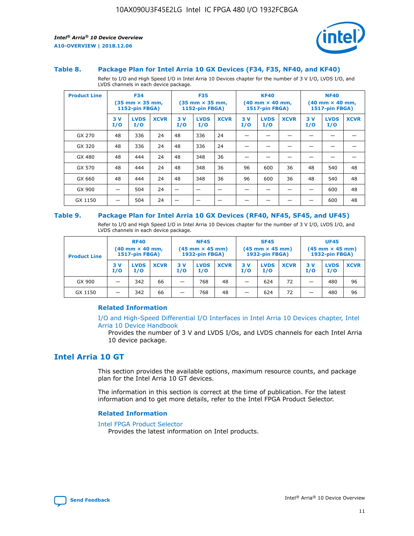

#### **Table 8. Package Plan for Intel Arria 10 GX Devices (F34, F35, NF40, and KF40)**

Refer to I/O and High Speed I/O in Intel Arria 10 Devices chapter for the number of 3 V I/O, LVDS I/O, and LVDS channels in each device package.

| <b>Product Line</b> | <b>F34</b><br>$(35 \text{ mm} \times 35 \text{ mm})$<br>1152-pin FBGA) |                    | <b>F35</b><br>$(35 \text{ mm} \times 35 \text{ mm})$<br><b>1152-pin FBGA)</b> |           | <b>KF40</b><br>$(40$ mm $\times$ 40 mm,<br>1517-pin FBGA) |             |           | <b>NF40</b><br>$(40$ mm $\times$ 40 mm,<br><b>1517-pin FBGA)</b> |             |            |                    |             |
|---------------------|------------------------------------------------------------------------|--------------------|-------------------------------------------------------------------------------|-----------|-----------------------------------------------------------|-------------|-----------|------------------------------------------------------------------|-------------|------------|--------------------|-------------|
|                     | 3V<br>I/O                                                              | <b>LVDS</b><br>I/O | <b>XCVR</b>                                                                   | 3V<br>I/O | <b>LVDS</b><br>I/O                                        | <b>XCVR</b> | 3V<br>I/O | <b>LVDS</b><br>I/O                                               | <b>XCVR</b> | 3 V<br>I/O | <b>LVDS</b><br>I/O | <b>XCVR</b> |
| GX 270              | 48                                                                     | 336                | 24                                                                            | 48        | 336                                                       | 24          |           |                                                                  |             |            |                    |             |
| GX 320              | 48                                                                     | 336                | 24                                                                            | 48        | 336                                                       | 24          |           |                                                                  |             |            |                    |             |
| GX 480              | 48                                                                     | 444                | 24                                                                            | 48        | 348                                                       | 36          |           |                                                                  |             |            |                    |             |
| GX 570              | 48                                                                     | 444                | 24                                                                            | 48        | 348                                                       | 36          | 96        | 600                                                              | 36          | 48         | 540                | 48          |
| GX 660              | 48                                                                     | 444                | 24                                                                            | 48        | 348                                                       | 36          | 96        | 600                                                              | 36          | 48         | 540                | 48          |
| GX 900              |                                                                        | 504                | 24                                                                            | -         |                                                           |             |           |                                                                  |             |            | 600                | 48          |
| GX 1150             |                                                                        | 504                | 24                                                                            |           |                                                           |             |           |                                                                  |             |            | 600                | 48          |

#### **Table 9. Package Plan for Intel Arria 10 GX Devices (RF40, NF45, SF45, and UF45)**

Refer to I/O and High Speed I/O in Intel Arria 10 Devices chapter for the number of 3 V I/O, LVDS I/O, and LVDS channels in each device package.

| <b>Product Line</b> | <b>RF40</b><br>$(40$ mm $\times$ 40 mm,<br>1517-pin FBGA) |                    |             | <b>NF45</b><br>$(45 \text{ mm} \times 45 \text{ mm})$<br><b>1932-pin FBGA)</b> |                    |             | <b>SF45</b><br>$(45 \text{ mm} \times 45 \text{ mm})$<br><b>1932-pin FBGA)</b> |                    |             | <b>UF45</b><br>$(45 \text{ mm} \times 45 \text{ mm})$<br><b>1932-pin FBGA)</b> |                    |             |
|---------------------|-----------------------------------------------------------|--------------------|-------------|--------------------------------------------------------------------------------|--------------------|-------------|--------------------------------------------------------------------------------|--------------------|-------------|--------------------------------------------------------------------------------|--------------------|-------------|
|                     | 3V<br>I/O                                                 | <b>LVDS</b><br>I/O | <b>XCVR</b> | 3 V<br>I/O                                                                     | <b>LVDS</b><br>I/O | <b>XCVR</b> | 3 V<br>I/O                                                                     | <b>LVDS</b><br>I/O | <b>XCVR</b> | 3V<br>I/O                                                                      | <b>LVDS</b><br>I/O | <b>XCVR</b> |
| GX 900              |                                                           | 342                | 66          | _                                                                              | 768                | 48          |                                                                                | 624                | 72          |                                                                                | 480                | 96          |
| GX 1150             |                                                           | 342                | 66          | _                                                                              | 768                | 48          |                                                                                | 624                | 72          |                                                                                | 480                | 96          |

#### **Related Information**

[I/O and High-Speed Differential I/O Interfaces in Intel Arria 10 Devices chapter, Intel](https://www.intel.com/content/www/us/en/programmable/documentation/sam1403482614086.html#sam1403482030321) [Arria 10 Device Handbook](https://www.intel.com/content/www/us/en/programmable/documentation/sam1403482614086.html#sam1403482030321)

Provides the number of 3 V and LVDS I/Os, and LVDS channels for each Intel Arria 10 device package.

# **Intel Arria 10 GT**

This section provides the available options, maximum resource counts, and package plan for the Intel Arria 10 GT devices.

The information in this section is correct at the time of publication. For the latest information and to get more details, refer to the Intel FPGA Product Selector.

#### **Related Information**

#### [Intel FPGA Product Selector](http://www.altera.com/products/selector/psg-selector.html)

Provides the latest information on Intel products.

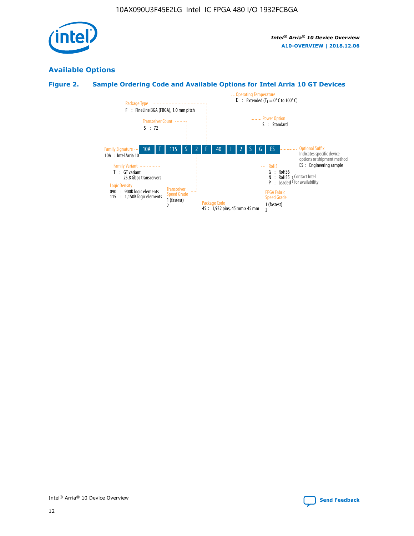

# **Available Options**

# **Figure 2. Sample Ordering Code and Available Options for Intel Arria 10 GT Devices**

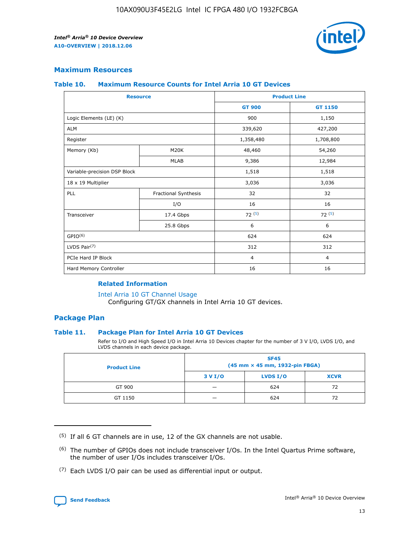

## **Maximum Resources**

#### **Table 10. Maximum Resource Counts for Intel Arria 10 GT Devices**

| <b>Resource</b>              |                      | <b>Product Line</b> |                |  |
|------------------------------|----------------------|---------------------|----------------|--|
|                              |                      | <b>GT 900</b>       | <b>GT 1150</b> |  |
| Logic Elements (LE) (K)      |                      | 900                 | 1,150          |  |
| <b>ALM</b>                   |                      | 339,620             | 427,200        |  |
| Register                     |                      | 1,358,480           | 1,708,800      |  |
| Memory (Kb)                  | M20K                 | 48,460              | 54,260         |  |
|                              | <b>MLAB</b>          | 9,386               | 12,984         |  |
| Variable-precision DSP Block |                      | 1,518               | 1,518          |  |
| 18 x 19 Multiplier           |                      | 3,036               | 3,036          |  |
| PLL                          | Fractional Synthesis | 32                  | 32             |  |
|                              | I/O                  | 16                  | 16             |  |
| Transceiver                  | 17.4 Gbps            | 72(5)               | 72(5)          |  |
|                              | 25.8 Gbps            | 6                   | 6              |  |
| GPIO <sup>(6)</sup>          |                      | 624                 | 624            |  |
| LVDS Pair $(7)$              |                      | 312                 | 312            |  |
| PCIe Hard IP Block           |                      | $\overline{4}$      | $\overline{4}$ |  |
| Hard Memory Controller       |                      | 16                  | 16             |  |

#### **Related Information**

#### [Intel Arria 10 GT Channel Usage](https://www.intel.com/content/www/us/en/programmable/documentation/nik1398707230472.html#nik1398707008178)

Configuring GT/GX channels in Intel Arria 10 GT devices.

## **Package Plan**

#### **Table 11. Package Plan for Intel Arria 10 GT Devices**

Refer to I/O and High Speed I/O in Intel Arria 10 Devices chapter for the number of 3 V I/O, LVDS I/O, and LVDS channels in each device package.

| <b>Product Line</b> | <b>SF45</b><br>(45 mm × 45 mm, 1932-pin FBGA) |                 |             |  |  |  |
|---------------------|-----------------------------------------------|-----------------|-------------|--|--|--|
|                     | 3 V I/O                                       | <b>LVDS I/O</b> | <b>XCVR</b> |  |  |  |
| GT 900              |                                               | 624             | 72          |  |  |  |
| GT 1150             |                                               | 624             |             |  |  |  |

<sup>(7)</sup> Each LVDS I/O pair can be used as differential input or output.



 $(5)$  If all 6 GT channels are in use, 12 of the GX channels are not usable.

<sup>(6)</sup> The number of GPIOs does not include transceiver I/Os. In the Intel Quartus Prime software, the number of user I/Os includes transceiver I/Os.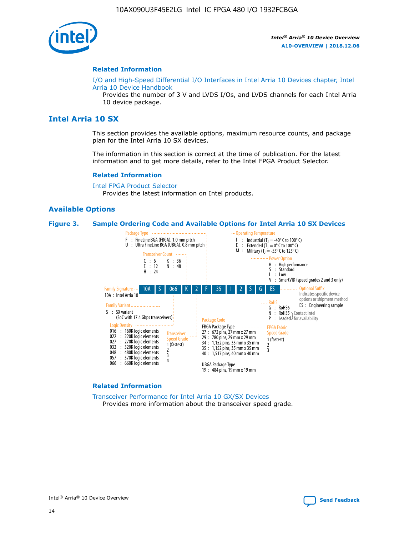

#### **Related Information**

[I/O and High-Speed Differential I/O Interfaces in Intel Arria 10 Devices chapter, Intel](https://www.intel.com/content/www/us/en/programmable/documentation/sam1403482614086.html#sam1403482030321) [Arria 10 Device Handbook](https://www.intel.com/content/www/us/en/programmable/documentation/sam1403482614086.html#sam1403482030321)

Provides the number of 3 V and LVDS I/Os, and LVDS channels for each Intel Arria 10 device package.

# **Intel Arria 10 SX**

This section provides the available options, maximum resource counts, and package plan for the Intel Arria 10 SX devices.

The information in this section is correct at the time of publication. For the latest information and to get more details, refer to the Intel FPGA Product Selector.

#### **Related Information**

[Intel FPGA Product Selector](http://www.altera.com/products/selector/psg-selector.html) Provides the latest information on Intel products.

#### **Available Options**

#### **Figure 3. Sample Ordering Code and Available Options for Intel Arria 10 SX Devices**



#### **Related Information**

[Transceiver Performance for Intel Arria 10 GX/SX Devices](https://www.intel.com/content/www/us/en/programmable/documentation/mcn1413182292568.html#mcn1413213965502) Provides more information about the transceiver speed grade.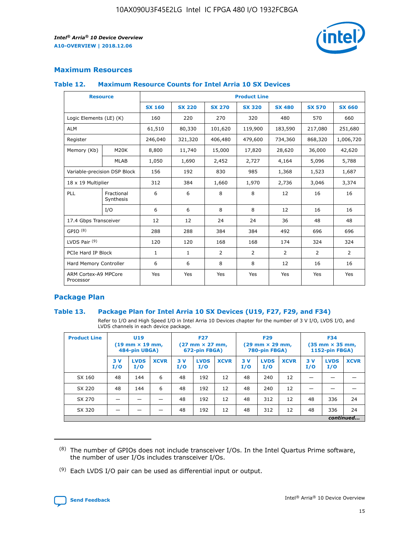

## **Maximum Resources**

#### **Table 12. Maximum Resource Counts for Intel Arria 10 SX Devices**

| <b>Resource</b>                   |                         | <b>Product Line</b> |               |                |                |                |                |                |  |  |  |
|-----------------------------------|-------------------------|---------------------|---------------|----------------|----------------|----------------|----------------|----------------|--|--|--|
|                                   |                         | <b>SX 160</b>       | <b>SX 220</b> | <b>SX 270</b>  | <b>SX 320</b>  | <b>SX 480</b>  | <b>SX 570</b>  | <b>SX 660</b>  |  |  |  |
| Logic Elements (LE) (K)           |                         | 160                 | 220           | 270            | 320            | 480            | 570            | 660            |  |  |  |
| <b>ALM</b>                        |                         | 61,510              | 80,330        | 101,620        | 119,900        | 183,590        | 217,080        | 251,680        |  |  |  |
| Register                          |                         | 246,040             | 321,320       | 406,480        | 479,600        | 734,360        | 868,320        | 1,006,720      |  |  |  |
| Memory (Kb)                       | <b>M20K</b>             | 8,800               | 11,740        | 15,000         | 17,820         | 28,620         | 36,000         | 42,620         |  |  |  |
|                                   | <b>MLAB</b>             | 1,050               | 1,690         | 2,452          | 2,727          | 4,164          | 5,096          | 5,788          |  |  |  |
| Variable-precision DSP Block      |                         | 156                 | 192           | 830            | 985            | 1,368          | 1,523          | 1,687          |  |  |  |
| 18 x 19 Multiplier                |                         | 312                 | 384           | 1,660          | 1,970          | 2,736          | 3,046          | 3,374          |  |  |  |
| PLL                               | Fractional<br>Synthesis | 6                   | 6             | 8              | 8              | 12             | 16             | 16             |  |  |  |
|                                   | I/O                     | 6                   | 6             | 8              | 8              | 12             | 16             | 16             |  |  |  |
| 17.4 Gbps Transceiver             |                         | 12                  | 12            | 24             | 24             | 36             | 48             | 48             |  |  |  |
| GPIO <sup>(8)</sup>               |                         | 288                 | 288           | 384            | 384            | 492            | 696            | 696            |  |  |  |
| LVDS Pair $(9)$                   |                         | 120                 | 120           | 168            | 168            | 174            | 324            | 324            |  |  |  |
| PCIe Hard IP Block                |                         | $\mathbf{1}$        | $\mathbf{1}$  | $\overline{2}$ | $\overline{2}$ | $\overline{2}$ | $\overline{2}$ | $\overline{2}$ |  |  |  |
| Hard Memory Controller            |                         | 6                   | 6             | 8              | 8              | 12             | 16             | 16             |  |  |  |
| ARM Cortex-A9 MPCore<br>Processor |                         | Yes                 | Yes           | Yes            | Yes            | Yes            | Yes            | <b>Yes</b>     |  |  |  |

## **Package Plan**

#### **Table 13. Package Plan for Intel Arria 10 SX Devices (U19, F27, F29, and F34)**

Refer to I/O and High Speed I/O in Intel Arria 10 Devices chapter for the number of 3 V I/O, LVDS I/O, and LVDS channels in each device package.

| <b>Product Line</b> | U <sub>19</sub><br>$(19 \text{ mm} \times 19 \text{ mm})$<br>484-pin UBGA) |                    | <b>F27</b><br>$(27 \text{ mm} \times 27 \text{ mm})$<br>672-pin FBGA) |           | <b>F29</b><br>$(29 \text{ mm} \times 29 \text{ mm})$<br>780-pin FBGA) |             |            | <b>F34</b><br>$(35 \text{ mm} \times 35 \text{ mm})$<br><b>1152-pin FBGA)</b> |             |           |                    |             |
|---------------------|----------------------------------------------------------------------------|--------------------|-----------------------------------------------------------------------|-----------|-----------------------------------------------------------------------|-------------|------------|-------------------------------------------------------------------------------|-------------|-----------|--------------------|-------------|
|                     | 3V<br>I/O                                                                  | <b>LVDS</b><br>I/O | <b>XCVR</b>                                                           | 3V<br>I/O | <b>LVDS</b><br>I/O                                                    | <b>XCVR</b> | 3 V<br>I/O | <b>LVDS</b><br>I/O                                                            | <b>XCVR</b> | 3V<br>I/O | <b>LVDS</b><br>I/O | <b>XCVR</b> |
| SX 160              | 48                                                                         | 144                | 6                                                                     | 48        | 192                                                                   | 12          | 48         | 240                                                                           | 12          | –         |                    |             |
| SX 220              | 48                                                                         | 144                | 6                                                                     | 48        | 192                                                                   | 12          | 48         | 240                                                                           | 12          |           |                    |             |
| SX 270              |                                                                            |                    |                                                                       | 48        | 192                                                                   | 12          | 48         | 312                                                                           | 12          | 48        | 336                | 24          |
| SX 320              |                                                                            |                    |                                                                       | 48        | 192                                                                   | 12          | 48         | 312                                                                           | 12          | 48        | 336                | 24          |
|                     | continued                                                                  |                    |                                                                       |           |                                                                       |             |            |                                                                               |             |           |                    |             |

 $(8)$  The number of GPIOs does not include transceiver I/Os. In the Intel Quartus Prime software, the number of user I/Os includes transceiver I/Os.

 $(9)$  Each LVDS I/O pair can be used as differential input or output.

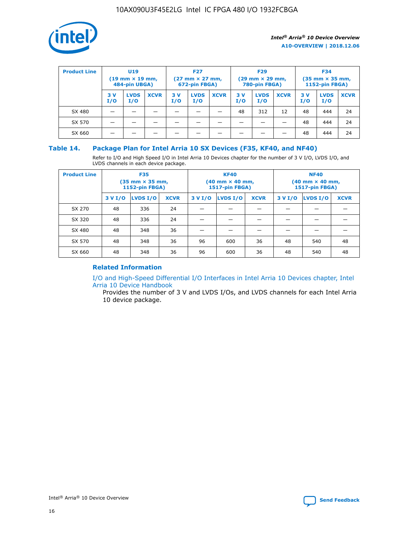

| <b>Product Line</b> | U <sub>19</sub><br>$(19 \text{ mm} \times 19 \text{ mm})$<br>484-pin UBGA) |                    | <b>F27</b><br>$(27 \text{ mm} \times 27 \text{ mm})$<br>672-pin FBGA) |           |                    | <b>F29</b><br>$(29 \text{ mm} \times 29 \text{ mm})$<br>780-pin FBGA) |           |                    | <b>F34</b><br>$(35$ mm $\times$ 35 mm,<br><b>1152-pin FBGA)</b> |           |                    |             |
|---------------------|----------------------------------------------------------------------------|--------------------|-----------------------------------------------------------------------|-----------|--------------------|-----------------------------------------------------------------------|-----------|--------------------|-----------------------------------------------------------------|-----------|--------------------|-------------|
|                     | 3 V<br>I/O                                                                 | <b>LVDS</b><br>I/O | <b>XCVR</b>                                                           | 3V<br>I/O | <b>LVDS</b><br>I/O | <b>XCVR</b>                                                           | 3V<br>I/O | <b>LVDS</b><br>I/O | <b>XCVR</b>                                                     | 3V<br>I/O | <b>LVDS</b><br>I/O | <b>XCVR</b> |
| SX 480              |                                                                            |                    |                                                                       |           |                    |                                                                       | 48        | 312                | 12                                                              | 48        | 444                | 24          |
| SX 570              |                                                                            |                    |                                                                       |           |                    |                                                                       |           |                    |                                                                 | 48        | 444                | 24          |
| SX 660              |                                                                            |                    |                                                                       |           |                    |                                                                       |           |                    |                                                                 | 48        | 444                | 24          |

## **Table 14. Package Plan for Intel Arria 10 SX Devices (F35, KF40, and NF40)**

Refer to I/O and High Speed I/O in Intel Arria 10 Devices chapter for the number of 3 V I/O, LVDS I/O, and LVDS channels in each device package.

| <b>Product Line</b> | <b>F35</b><br>$(35 \text{ mm} \times 35 \text{ mm})$<br><b>1152-pin FBGA)</b> |          |             |                                           | <b>KF40</b><br>(40 mm × 40 mm,<br>1517-pin FBGA) |    | <b>NF40</b><br>$(40 \text{ mm} \times 40 \text{ mm})$<br>1517-pin FBGA) |          |             |  |
|---------------------|-------------------------------------------------------------------------------|----------|-------------|-------------------------------------------|--------------------------------------------------|----|-------------------------------------------------------------------------|----------|-------------|--|
|                     | 3 V I/O                                                                       | LVDS I/O | <b>XCVR</b> | <b>LVDS I/O</b><br><b>XCVR</b><br>3 V I/O |                                                  |    | 3 V I/O                                                                 | LVDS I/O | <b>XCVR</b> |  |
| SX 270              | 48                                                                            | 336      | 24          |                                           |                                                  |    |                                                                         |          |             |  |
| SX 320              | 48                                                                            | 336      | 24          |                                           |                                                  |    |                                                                         |          |             |  |
| SX 480              | 48                                                                            | 348      | 36          |                                           |                                                  |    |                                                                         |          |             |  |
| SX 570              | 48                                                                            | 348      | 36          | 96                                        | 600                                              | 36 | 48                                                                      | 540      | 48          |  |
| SX 660              | 48                                                                            | 348      | 36          | 96                                        | 600                                              | 36 | 48                                                                      | 540      | 48          |  |

# **Related Information**

[I/O and High-Speed Differential I/O Interfaces in Intel Arria 10 Devices chapter, Intel](https://www.intel.com/content/www/us/en/programmable/documentation/sam1403482614086.html#sam1403482030321) [Arria 10 Device Handbook](https://www.intel.com/content/www/us/en/programmable/documentation/sam1403482614086.html#sam1403482030321)

Provides the number of 3 V and LVDS I/Os, and LVDS channels for each Intel Arria 10 device package.

Intel<sup>®</sup> Arria<sup>®</sup> 10 Device Overview **[Send Feedback](mailto:FPGAtechdocfeedback@intel.com?subject=Feedback%20on%20Intel%20Arria%2010%20Device%20Overview%20(A10-OVERVIEW%202018.12.06)&body=We%20appreciate%20your%20feedback.%20In%20your%20comments,%20also%20specify%20the%20page%20number%20or%20paragraph.%20Thank%20you.)** Send Feedback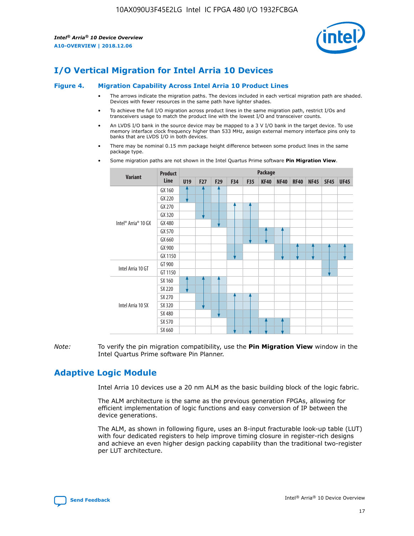

# **I/O Vertical Migration for Intel Arria 10 Devices**

#### **Figure 4. Migration Capability Across Intel Arria 10 Product Lines**

- The arrows indicate the migration paths. The devices included in each vertical migration path are shaded. Devices with fewer resources in the same path have lighter shades.
- To achieve the full I/O migration across product lines in the same migration path, restrict I/Os and transceivers usage to match the product line with the lowest I/O and transceiver counts.
- An LVDS I/O bank in the source device may be mapped to a 3 V I/O bank in the target device. To use memory interface clock frequency higher than 533 MHz, assign external memory interface pins only to banks that are LVDS I/O in both devices.
- There may be nominal 0.15 mm package height difference between some product lines in the same package type.
	- **Variant Product Line Package U19 F27 F29 F34 F35 KF40 NF40 RF40 NF45 SF45 UF45** Intel® Arria® 10 GX GX 160 GX 220 GX 270 GX 320 GX 480 GX 570 GX 660 GX 900 GX 1150 Intel Arria 10 GT GT 900 GT 1150 Intel Arria 10 SX SX 160 SX 220 SX 270 SX 320 SX 480 SX 570 SX 660
- Some migration paths are not shown in the Intel Quartus Prime software **Pin Migration View**.

*Note:* To verify the pin migration compatibility, use the **Pin Migration View** window in the Intel Quartus Prime software Pin Planner.

# **Adaptive Logic Module**

Intel Arria 10 devices use a 20 nm ALM as the basic building block of the logic fabric.

The ALM architecture is the same as the previous generation FPGAs, allowing for efficient implementation of logic functions and easy conversion of IP between the device generations.

The ALM, as shown in following figure, uses an 8-input fracturable look-up table (LUT) with four dedicated registers to help improve timing closure in register-rich designs and achieve an even higher design packing capability than the traditional two-register per LUT architecture.

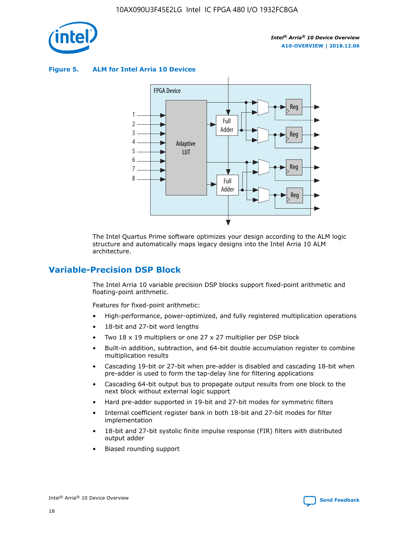

**Figure 5. ALM for Intel Arria 10 Devices**



The Intel Quartus Prime software optimizes your design according to the ALM logic structure and automatically maps legacy designs into the Intel Arria 10 ALM architecture.

# **Variable-Precision DSP Block**

The Intel Arria 10 variable precision DSP blocks support fixed-point arithmetic and floating-point arithmetic.

Features for fixed-point arithmetic:

- High-performance, power-optimized, and fully registered multiplication operations
- 18-bit and 27-bit word lengths
- Two 18 x 19 multipliers or one 27 x 27 multiplier per DSP block
- Built-in addition, subtraction, and 64-bit double accumulation register to combine multiplication results
- Cascading 19-bit or 27-bit when pre-adder is disabled and cascading 18-bit when pre-adder is used to form the tap-delay line for filtering applications
- Cascading 64-bit output bus to propagate output results from one block to the next block without external logic support
- Hard pre-adder supported in 19-bit and 27-bit modes for symmetric filters
- Internal coefficient register bank in both 18-bit and 27-bit modes for filter implementation
- 18-bit and 27-bit systolic finite impulse response (FIR) filters with distributed output adder
- Biased rounding support

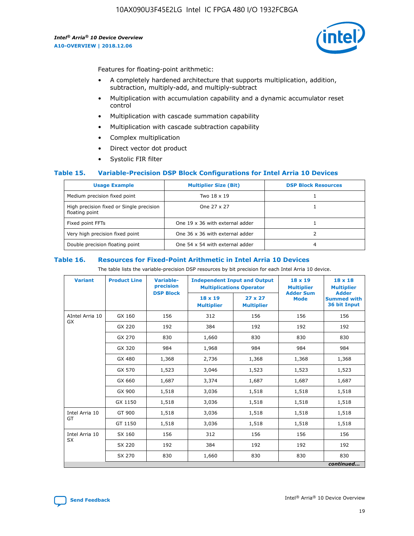

Features for floating-point arithmetic:

- A completely hardened architecture that supports multiplication, addition, subtraction, multiply-add, and multiply-subtract
- Multiplication with accumulation capability and a dynamic accumulator reset control
- Multiplication with cascade summation capability
- Multiplication with cascade subtraction capability
- Complex multiplication
- Direct vector dot product
- Systolic FIR filter

#### **Table 15. Variable-Precision DSP Block Configurations for Intel Arria 10 Devices**

| <b>Usage Example</b>                                       | <b>Multiplier Size (Bit)</b>    | <b>DSP Block Resources</b> |
|------------------------------------------------------------|---------------------------------|----------------------------|
| Medium precision fixed point                               | Two 18 x 19                     |                            |
| High precision fixed or Single precision<br>floating point | One 27 x 27                     |                            |
| Fixed point FFTs                                           | One 19 x 36 with external adder |                            |
| Very high precision fixed point                            | One 36 x 36 with external adder |                            |
| Double precision floating point                            | One 54 x 54 with external adder | 4                          |

#### **Table 16. Resources for Fixed-Point Arithmetic in Intel Arria 10 Devices**

The table lists the variable-precision DSP resources by bit precision for each Intel Arria 10 device.

| <b>Variant</b>  | <b>Product Line</b> | <b>Variable-</b><br>precision<br><b>DSP Block</b> | <b>Independent Input and Output</b><br><b>Multiplications Operator</b> |                                     | 18 x 19<br><b>Multiplier</b><br><b>Adder Sum</b> | $18 \times 18$<br><b>Multiplier</b><br><b>Adder</b> |
|-----------------|---------------------|---------------------------------------------------|------------------------------------------------------------------------|-------------------------------------|--------------------------------------------------|-----------------------------------------------------|
|                 |                     |                                                   | 18 x 19<br><b>Multiplier</b>                                           | $27 \times 27$<br><b>Multiplier</b> | <b>Mode</b>                                      | <b>Summed with</b><br>36 bit Input                  |
| AIntel Arria 10 | GX 160              | 156                                               | 312                                                                    | 156                                 | 156                                              | 156                                                 |
| GX              | GX 220              | 192                                               | 384                                                                    | 192                                 | 192                                              | 192                                                 |
|                 | GX 270              | 830                                               | 1,660                                                                  | 830                                 | 830                                              | 830                                                 |
|                 | GX 320              | 984                                               | 1,968                                                                  | 984                                 | 984                                              | 984                                                 |
|                 | GX 480              | 1,368                                             | 2,736                                                                  | 1,368                               | 1,368                                            | 1,368                                               |
|                 | GX 570              | 1,523                                             | 3,046                                                                  | 1,523                               | 1,523                                            | 1,523                                               |
|                 | GX 660              | 1,687                                             | 3,374                                                                  | 1,687                               | 1,687                                            | 1,687                                               |
|                 | GX 900              | 1,518                                             | 3,036                                                                  | 1,518                               | 1,518                                            | 1,518                                               |
|                 | GX 1150             | 1,518                                             | 3,036                                                                  | 1,518                               | 1,518                                            | 1,518                                               |
| Intel Arria 10  | GT 900              | 1,518                                             | 3,036                                                                  | 1,518                               | 1,518                                            | 1,518                                               |
| GT              | GT 1150             | 1,518                                             | 3,036                                                                  | 1,518                               | 1,518                                            | 1,518                                               |
| Intel Arria 10  | SX 160              | 156                                               | 312                                                                    | 156                                 | 156                                              | 156                                                 |
| <b>SX</b>       | SX 220              | 192                                               | 384                                                                    | 192                                 | 192                                              | 192                                                 |
|                 | SX 270              | 830                                               | 1,660                                                                  | 830                                 | 830                                              | 830                                                 |
|                 |                     |                                                   |                                                                        |                                     |                                                  | continued                                           |

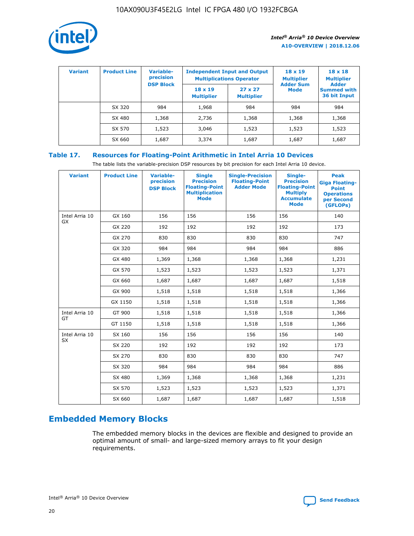

| <b>Variant</b> | <b>Product Line</b> | Variable-<br>precision | <b>Independent Input and Output</b><br><b>Multiplications Operator</b> |                                     | $18 \times 19$<br><b>Multiplier</b> | $18 \times 18$<br><b>Multiplier</b><br><b>Adder</b> |  |
|----------------|---------------------|------------------------|------------------------------------------------------------------------|-------------------------------------|-------------------------------------|-----------------------------------------------------|--|
|                |                     | <b>DSP Block</b>       | $18 \times 19$<br><b>Multiplier</b>                                    | $27 \times 27$<br><b>Multiplier</b> | <b>Adder Sum</b><br><b>Mode</b>     | <b>Summed with</b><br>36 bit Input                  |  |
|                | SX 320              | 984                    | 1,968                                                                  | 984                                 | 984                                 | 984                                                 |  |
|                | SX 480              | 1,368                  | 2,736                                                                  | 1,368                               | 1,368                               | 1,368                                               |  |
|                | SX 570              | 1,523                  | 3,046                                                                  | 1,523                               | 1,523                               | 1,523                                               |  |
|                | SX 660              | 1,687                  | 3,374                                                                  | 1,687                               | 1,687                               | 1,687                                               |  |

# **Table 17. Resources for Floating-Point Arithmetic in Intel Arria 10 Devices**

The table lists the variable-precision DSP resources by bit precision for each Intel Arria 10 device.

| <b>Variant</b> | <b>Product Line</b> | <b>Variable-</b><br>precision<br><b>DSP Block</b> | <b>Single</b><br><b>Precision</b><br><b>Floating-Point</b><br><b>Multiplication</b><br><b>Mode</b> | <b>Single-Precision</b><br><b>Floating-Point</b><br><b>Adder Mode</b> | Single-<br><b>Precision</b><br><b>Floating-Point</b><br><b>Multiply</b><br><b>Accumulate</b><br><b>Mode</b> | <b>Peak</b><br><b>Giga Floating-</b><br><b>Point</b><br><b>Operations</b><br>per Second<br>(GFLOPs) |
|----------------|---------------------|---------------------------------------------------|----------------------------------------------------------------------------------------------------|-----------------------------------------------------------------------|-------------------------------------------------------------------------------------------------------------|-----------------------------------------------------------------------------------------------------|
| Intel Arria 10 | GX 160              | 156                                               | 156                                                                                                | 156                                                                   | 156                                                                                                         | 140                                                                                                 |
| GX             | GX 220              | 192                                               | 192                                                                                                | 192                                                                   | 192                                                                                                         | 173                                                                                                 |
|                | GX 270              | 830                                               | 830                                                                                                | 830                                                                   | 830                                                                                                         | 747                                                                                                 |
|                | GX 320              | 984                                               | 984                                                                                                | 984                                                                   | 984                                                                                                         | 886                                                                                                 |
|                | GX 480              | 1,369                                             | 1,368                                                                                              | 1,368                                                                 | 1,368                                                                                                       | 1,231                                                                                               |
|                | GX 570              | 1,523                                             | 1,523                                                                                              | 1,523                                                                 | 1,523                                                                                                       | 1,371                                                                                               |
|                | GX 660              | 1,687                                             | 1,687                                                                                              | 1,687                                                                 | 1,687                                                                                                       | 1,518                                                                                               |
|                | GX 900              | 1,518                                             | 1,518                                                                                              | 1,518                                                                 | 1,518                                                                                                       | 1,366                                                                                               |
|                | GX 1150             | 1,518                                             | 1,518                                                                                              | 1,518                                                                 | 1,518                                                                                                       | 1,366                                                                                               |
| Intel Arria 10 | GT 900              | 1,518                                             | 1,518                                                                                              | 1,518                                                                 | 1,518                                                                                                       | 1,366                                                                                               |
| GT             | GT 1150             | 1,518                                             | 1,518                                                                                              | 1,518                                                                 | 1,518                                                                                                       | 1,366                                                                                               |
| Intel Arria 10 | SX 160              | 156                                               | 156                                                                                                | 156                                                                   | 156                                                                                                         | 140                                                                                                 |
| <b>SX</b>      | SX 220              | 192                                               | 192                                                                                                | 192                                                                   | 192                                                                                                         | 173                                                                                                 |
|                | SX 270              | 830                                               | 830                                                                                                | 830                                                                   | 830                                                                                                         | 747                                                                                                 |
|                | SX 320              | 984                                               | 984                                                                                                | 984                                                                   | 984                                                                                                         | 886                                                                                                 |
|                | SX 480              | 1,369                                             | 1,368                                                                                              | 1,368                                                                 | 1,368                                                                                                       | 1,231                                                                                               |
|                | SX 570              | 1,523                                             | 1,523                                                                                              | 1,523                                                                 | 1,523                                                                                                       | 1,371                                                                                               |
|                | SX 660              | 1,687                                             | 1,687                                                                                              | 1,687                                                                 | 1,687                                                                                                       | 1,518                                                                                               |

# **Embedded Memory Blocks**

The embedded memory blocks in the devices are flexible and designed to provide an optimal amount of small- and large-sized memory arrays to fit your design requirements.

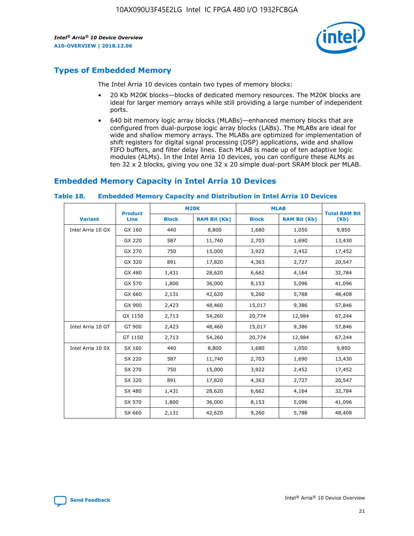

# **Types of Embedded Memory**

The Intel Arria 10 devices contain two types of memory blocks:

- 20 Kb M20K blocks—blocks of dedicated memory resources. The M20K blocks are ideal for larger memory arrays while still providing a large number of independent ports.
- 640 bit memory logic array blocks (MLABs)—enhanced memory blocks that are configured from dual-purpose logic array blocks (LABs). The MLABs are ideal for wide and shallow memory arrays. The MLABs are optimized for implementation of shift registers for digital signal processing (DSP) applications, wide and shallow FIFO buffers, and filter delay lines. Each MLAB is made up of ten adaptive logic modules (ALMs). In the Intel Arria 10 devices, you can configure these ALMs as ten 32 x 2 blocks, giving you one 32 x 20 simple dual-port SRAM block per MLAB.

# **Embedded Memory Capacity in Intel Arria 10 Devices**

|                   | <b>Product</b> |              | <b>M20K</b>         | <b>MLAB</b>  |                     | <b>Total RAM Bit</b> |
|-------------------|----------------|--------------|---------------------|--------------|---------------------|----------------------|
| <b>Variant</b>    | Line           | <b>Block</b> | <b>RAM Bit (Kb)</b> | <b>Block</b> | <b>RAM Bit (Kb)</b> | (Kb)                 |
| Intel Arria 10 GX | GX 160         | 440          | 8,800               | 1,680        | 1,050               | 9,850                |
|                   | GX 220         | 587          | 11,740              | 2,703        | 1,690               | 13,430               |
|                   | GX 270         | 750          | 15,000              | 3,922        | 2,452               | 17,452               |
|                   | GX 320         | 891          | 17,820              | 4,363        | 2,727               | 20,547               |
|                   | GX 480         | 1,431        | 28,620              | 6,662        | 4,164               | 32,784               |
|                   | GX 570         | 1,800        | 36,000              | 8,153        | 5,096               | 41,096               |
|                   | GX 660         | 2,131        | 42,620              | 9,260        | 5,788               | 48,408               |
|                   | GX 900         | 2,423        | 48,460              | 15,017       | 9,386               | 57,846               |
|                   | GX 1150        | 2,713        | 54,260              | 20,774       | 12,984              | 67,244               |
| Intel Arria 10 GT | GT 900         | 2,423        | 48,460              | 15,017       | 9,386               | 57,846               |
|                   | GT 1150        | 2,713        | 54,260              | 20,774       | 12,984              | 67,244               |
| Intel Arria 10 SX | SX 160         | 440          | 8,800               | 1,680        | 1,050               | 9,850                |
|                   | SX 220         | 587          | 11,740              | 2,703        | 1,690               | 13,430               |
|                   | SX 270         | 750          | 15,000              | 3,922        | 2,452               | 17,452               |
|                   | SX 320         | 891          | 17,820              | 4,363        | 2,727               | 20,547               |
|                   | SX 480         | 1,431        | 28,620              | 6,662        | 4,164               | 32,784               |
|                   | SX 570         | 1,800        | 36,000              | 8,153        | 5,096               | 41,096               |
|                   | SX 660         | 2,131        | 42,620              | 9,260        | 5,788               | 48,408               |

#### **Table 18. Embedded Memory Capacity and Distribution in Intel Arria 10 Devices**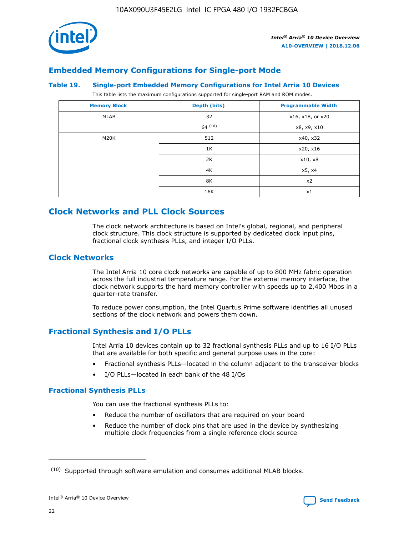

# **Embedded Memory Configurations for Single-port Mode**

#### **Table 19. Single-port Embedded Memory Configurations for Intel Arria 10 Devices**

This table lists the maximum configurations supported for single-port RAM and ROM modes.

| <b>Memory Block</b> | Depth (bits) | <b>Programmable Width</b> |
|---------------------|--------------|---------------------------|
| MLAB                | 32           | x16, x18, or x20          |
|                     | 64(10)       | x8, x9, x10               |
| M20K                | 512          | x40, x32                  |
|                     | 1K           | x20, x16                  |
|                     | 2K           | x10, x8                   |
|                     | 4K           | x5, x4                    |
|                     | 8K           | x2                        |
|                     | 16K          | x1                        |

# **Clock Networks and PLL Clock Sources**

The clock network architecture is based on Intel's global, regional, and peripheral clock structure. This clock structure is supported by dedicated clock input pins, fractional clock synthesis PLLs, and integer I/O PLLs.

## **Clock Networks**

The Intel Arria 10 core clock networks are capable of up to 800 MHz fabric operation across the full industrial temperature range. For the external memory interface, the clock network supports the hard memory controller with speeds up to 2,400 Mbps in a quarter-rate transfer.

To reduce power consumption, the Intel Quartus Prime software identifies all unused sections of the clock network and powers them down.

## **Fractional Synthesis and I/O PLLs**

Intel Arria 10 devices contain up to 32 fractional synthesis PLLs and up to 16 I/O PLLs that are available for both specific and general purpose uses in the core:

- Fractional synthesis PLLs—located in the column adjacent to the transceiver blocks
- I/O PLLs—located in each bank of the 48 I/Os

#### **Fractional Synthesis PLLs**

You can use the fractional synthesis PLLs to:

- Reduce the number of oscillators that are required on your board
- Reduce the number of clock pins that are used in the device by synthesizing multiple clock frequencies from a single reference clock source

<sup>(10)</sup> Supported through software emulation and consumes additional MLAB blocks.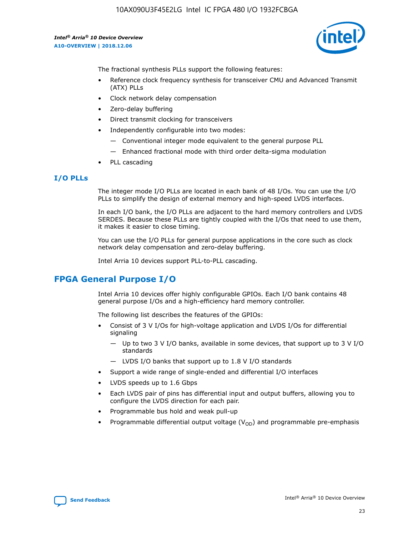10AX090U3F45E2LG Intel IC FPGA 480 I/O 1932FCBGA

*Intel® Arria® 10 Device Overview* **A10-OVERVIEW | 2018.12.06**



The fractional synthesis PLLs support the following features:

- Reference clock frequency synthesis for transceiver CMU and Advanced Transmit (ATX) PLLs
- Clock network delay compensation
- Zero-delay buffering
- Direct transmit clocking for transceivers
- Independently configurable into two modes:
	- Conventional integer mode equivalent to the general purpose PLL
	- Enhanced fractional mode with third order delta-sigma modulation
- PLL cascading

## **I/O PLLs**

The integer mode I/O PLLs are located in each bank of 48 I/Os. You can use the I/O PLLs to simplify the design of external memory and high-speed LVDS interfaces.

In each I/O bank, the I/O PLLs are adjacent to the hard memory controllers and LVDS SERDES. Because these PLLs are tightly coupled with the I/Os that need to use them, it makes it easier to close timing.

You can use the I/O PLLs for general purpose applications in the core such as clock network delay compensation and zero-delay buffering.

Intel Arria 10 devices support PLL-to-PLL cascading.

# **FPGA General Purpose I/O**

Intel Arria 10 devices offer highly configurable GPIOs. Each I/O bank contains 48 general purpose I/Os and a high-efficiency hard memory controller.

The following list describes the features of the GPIOs:

- Consist of 3 V I/Os for high-voltage application and LVDS I/Os for differential signaling
	- Up to two 3 V I/O banks, available in some devices, that support up to 3 V I/O standards
	- LVDS I/O banks that support up to 1.8 V I/O standards
- Support a wide range of single-ended and differential I/O interfaces
- LVDS speeds up to 1.6 Gbps
- Each LVDS pair of pins has differential input and output buffers, allowing you to configure the LVDS direction for each pair.
- Programmable bus hold and weak pull-up
- Programmable differential output voltage  $(V_{OD})$  and programmable pre-emphasis

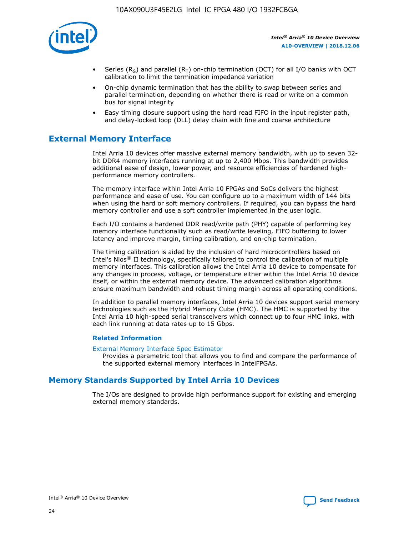

- Series (R<sub>S</sub>) and parallel (R<sub>T</sub>) on-chip termination (OCT) for all I/O banks with OCT calibration to limit the termination impedance variation
- On-chip dynamic termination that has the ability to swap between series and parallel termination, depending on whether there is read or write on a common bus for signal integrity
- Easy timing closure support using the hard read FIFO in the input register path, and delay-locked loop (DLL) delay chain with fine and coarse architecture

# **External Memory Interface**

Intel Arria 10 devices offer massive external memory bandwidth, with up to seven 32 bit DDR4 memory interfaces running at up to 2,400 Mbps. This bandwidth provides additional ease of design, lower power, and resource efficiencies of hardened highperformance memory controllers.

The memory interface within Intel Arria 10 FPGAs and SoCs delivers the highest performance and ease of use. You can configure up to a maximum width of 144 bits when using the hard or soft memory controllers. If required, you can bypass the hard memory controller and use a soft controller implemented in the user logic.

Each I/O contains a hardened DDR read/write path (PHY) capable of performing key memory interface functionality such as read/write leveling, FIFO buffering to lower latency and improve margin, timing calibration, and on-chip termination.

The timing calibration is aided by the inclusion of hard microcontrollers based on Intel's Nios® II technology, specifically tailored to control the calibration of multiple memory interfaces. This calibration allows the Intel Arria 10 device to compensate for any changes in process, voltage, or temperature either within the Intel Arria 10 device itself, or within the external memory device. The advanced calibration algorithms ensure maximum bandwidth and robust timing margin across all operating conditions.

In addition to parallel memory interfaces, Intel Arria 10 devices support serial memory technologies such as the Hybrid Memory Cube (HMC). The HMC is supported by the Intel Arria 10 high-speed serial transceivers which connect up to four HMC links, with each link running at data rates up to 15 Gbps.

#### **Related Information**

#### [External Memory Interface Spec Estimator](http://www.altera.com/technology/memory/estimator/mem-emif-index.html)

Provides a parametric tool that allows you to find and compare the performance of the supported external memory interfaces in IntelFPGAs.

# **Memory Standards Supported by Intel Arria 10 Devices**

The I/Os are designed to provide high performance support for existing and emerging external memory standards.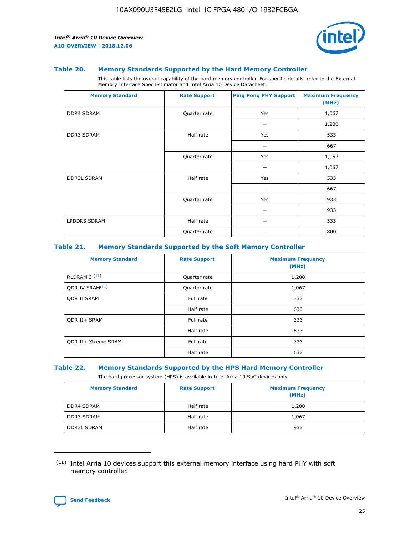

#### **Table 20. Memory Standards Supported by the Hard Memory Controller**

This table lists the overall capability of the hard memory controller. For specific details, refer to the External Memory Interface Spec Estimator and Intel Arria 10 Device Datasheet.

| <b>Memory Standard</b> | <b>Rate Support</b> | <b>Ping Pong PHY Support</b> | <b>Maximum Frequency</b><br>(MHz) |
|------------------------|---------------------|------------------------------|-----------------------------------|
| <b>DDR4 SDRAM</b>      | Quarter rate        | Yes                          | 1,067                             |
|                        |                     |                              | 1,200                             |
| DDR3 SDRAM             | Half rate           | Yes                          | 533                               |
|                        |                     |                              | 667                               |
|                        | Quarter rate        | Yes                          | 1,067                             |
|                        |                     |                              | 1,067                             |
| <b>DDR3L SDRAM</b>     | Half rate           | Yes                          | 533                               |
|                        |                     |                              | 667                               |
|                        | Quarter rate        | Yes                          | 933                               |
|                        |                     |                              | 933                               |
| LPDDR3 SDRAM           | Half rate           |                              | 533                               |
|                        | Quarter rate        |                              | 800                               |

#### **Table 21. Memory Standards Supported by the Soft Memory Controller**

| <b>Memory Standard</b>      | <b>Rate Support</b> | <b>Maximum Frequency</b><br>(MHz) |
|-----------------------------|---------------------|-----------------------------------|
| <b>RLDRAM 3 (11)</b>        | Quarter rate        | 1,200                             |
| ODR IV SRAM <sup>(11)</sup> | Quarter rate        | 1,067                             |
| <b>ODR II SRAM</b>          | Full rate           | 333                               |
|                             | Half rate           | 633                               |
| <b>ODR II+ SRAM</b>         | Full rate           | 333                               |
|                             | Half rate           | 633                               |
| <b>ODR II+ Xtreme SRAM</b>  | Full rate           | 333                               |
|                             | Half rate           | 633                               |

#### **Table 22. Memory Standards Supported by the HPS Hard Memory Controller**

The hard processor system (HPS) is available in Intel Arria 10 SoC devices only.

| <b>Memory Standard</b> | <b>Rate Support</b> | <b>Maximum Frequency</b><br>(MHz) |
|------------------------|---------------------|-----------------------------------|
| <b>DDR4 SDRAM</b>      | Half rate           | 1,200                             |
| <b>DDR3 SDRAM</b>      | Half rate           | 1,067                             |
| <b>DDR3L SDRAM</b>     | Half rate           | 933                               |

<sup>(11)</sup> Intel Arria 10 devices support this external memory interface using hard PHY with soft memory controller.

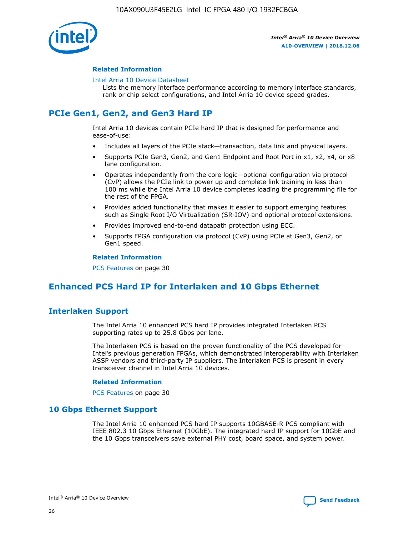

#### **Related Information**

#### [Intel Arria 10 Device Datasheet](https://www.intel.com/content/www/us/en/programmable/documentation/mcn1413182292568.html#mcn1413182153340)

Lists the memory interface performance according to memory interface standards, rank or chip select configurations, and Intel Arria 10 device speed grades.

# **PCIe Gen1, Gen2, and Gen3 Hard IP**

Intel Arria 10 devices contain PCIe hard IP that is designed for performance and ease-of-use:

- Includes all layers of the PCIe stack—transaction, data link and physical layers.
- Supports PCIe Gen3, Gen2, and Gen1 Endpoint and Root Port in x1, x2, x4, or x8 lane configuration.
- Operates independently from the core logic—optional configuration via protocol (CvP) allows the PCIe link to power up and complete link training in less than 100 ms while the Intel Arria 10 device completes loading the programming file for the rest of the FPGA.
- Provides added functionality that makes it easier to support emerging features such as Single Root I/O Virtualization (SR-IOV) and optional protocol extensions.
- Provides improved end-to-end datapath protection using ECC.
- Supports FPGA configuration via protocol (CvP) using PCIe at Gen3, Gen2, or Gen1 speed.

#### **Related Information**

PCS Features on page 30

# **Enhanced PCS Hard IP for Interlaken and 10 Gbps Ethernet**

# **Interlaken Support**

The Intel Arria 10 enhanced PCS hard IP provides integrated Interlaken PCS supporting rates up to 25.8 Gbps per lane.

The Interlaken PCS is based on the proven functionality of the PCS developed for Intel's previous generation FPGAs, which demonstrated interoperability with Interlaken ASSP vendors and third-party IP suppliers. The Interlaken PCS is present in every transceiver channel in Intel Arria 10 devices.

#### **Related Information**

PCS Features on page 30

## **10 Gbps Ethernet Support**

The Intel Arria 10 enhanced PCS hard IP supports 10GBASE-R PCS compliant with IEEE 802.3 10 Gbps Ethernet (10GbE). The integrated hard IP support for 10GbE and the 10 Gbps transceivers save external PHY cost, board space, and system power.

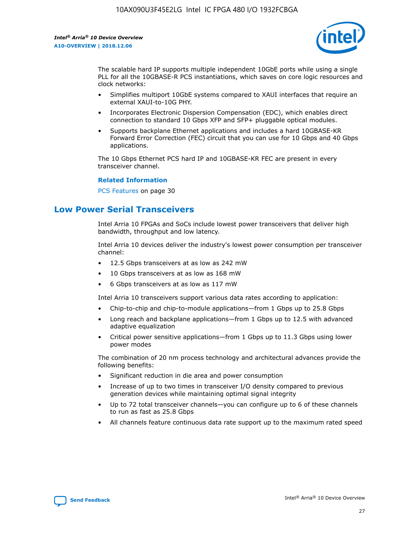

The scalable hard IP supports multiple independent 10GbE ports while using a single PLL for all the 10GBASE-R PCS instantiations, which saves on core logic resources and clock networks:

- Simplifies multiport 10GbE systems compared to XAUI interfaces that require an external XAUI-to-10G PHY.
- Incorporates Electronic Dispersion Compensation (EDC), which enables direct connection to standard 10 Gbps XFP and SFP+ pluggable optical modules.
- Supports backplane Ethernet applications and includes a hard 10GBASE-KR Forward Error Correction (FEC) circuit that you can use for 10 Gbps and 40 Gbps applications.

The 10 Gbps Ethernet PCS hard IP and 10GBASE-KR FEC are present in every transceiver channel.

#### **Related Information**

PCS Features on page 30

# **Low Power Serial Transceivers**

Intel Arria 10 FPGAs and SoCs include lowest power transceivers that deliver high bandwidth, throughput and low latency.

Intel Arria 10 devices deliver the industry's lowest power consumption per transceiver channel:

- 12.5 Gbps transceivers at as low as 242 mW
- 10 Gbps transceivers at as low as 168 mW
- 6 Gbps transceivers at as low as 117 mW

Intel Arria 10 transceivers support various data rates according to application:

- Chip-to-chip and chip-to-module applications—from 1 Gbps up to 25.8 Gbps
- Long reach and backplane applications—from 1 Gbps up to 12.5 with advanced adaptive equalization
- Critical power sensitive applications—from 1 Gbps up to 11.3 Gbps using lower power modes

The combination of 20 nm process technology and architectural advances provide the following benefits:

- Significant reduction in die area and power consumption
- Increase of up to two times in transceiver I/O density compared to previous generation devices while maintaining optimal signal integrity
- Up to 72 total transceiver channels—you can configure up to 6 of these channels to run as fast as 25.8 Gbps
- All channels feature continuous data rate support up to the maximum rated speed

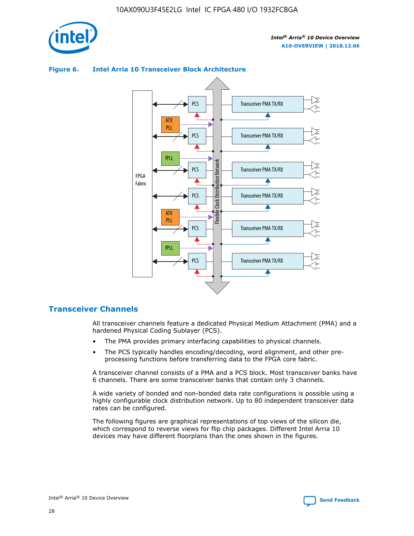

# Transceiver PMA TX/RX PCS ATX PLL Transceiver PMA TX/RX PCS fPLL Network Flexible Clock Distribution Network PCS Transceiver PMA TX/RX FPGA **Clock Distribution** Fabric PCS Transceiver PMA TX/RX ATX Flexible PLL PCS Transceiver PMA TX/RX ▲ fPLL Transceiver PMA TX/RX PCS 4

## **Figure 6. Intel Arria 10 Transceiver Block Architecture**

# **Transceiver Channels**

All transceiver channels feature a dedicated Physical Medium Attachment (PMA) and a hardened Physical Coding Sublayer (PCS).

- The PMA provides primary interfacing capabilities to physical channels.
- The PCS typically handles encoding/decoding, word alignment, and other preprocessing functions before transferring data to the FPGA core fabric.

A transceiver channel consists of a PMA and a PCS block. Most transceiver banks have 6 channels. There are some transceiver banks that contain only 3 channels.

A wide variety of bonded and non-bonded data rate configurations is possible using a highly configurable clock distribution network. Up to 80 independent transceiver data rates can be configured.

The following figures are graphical representations of top views of the silicon die, which correspond to reverse views for flip chip packages. Different Intel Arria 10 devices may have different floorplans than the ones shown in the figures.

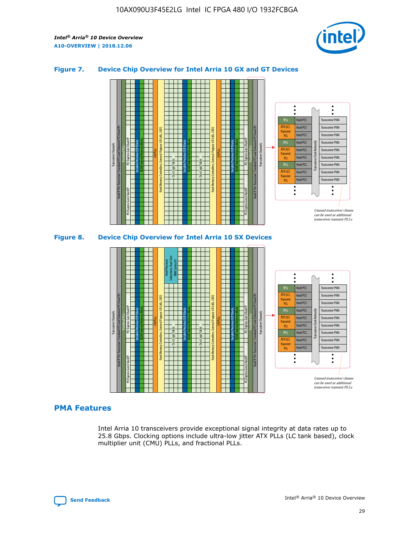

## **Figure 7. Device Chip Overview for Intel Arria 10 GX and GT Devices**





## **PMA Features**

Intel Arria 10 transceivers provide exceptional signal integrity at data rates up to 25.8 Gbps. Clocking options include ultra-low jitter ATX PLLs (LC tank based), clock multiplier unit (CMU) PLLs, and fractional PLLs.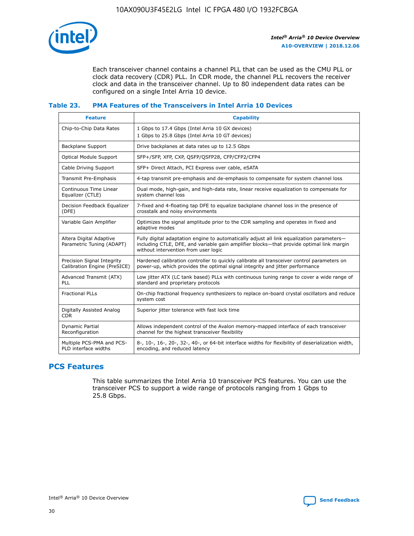

Each transceiver channel contains a channel PLL that can be used as the CMU PLL or clock data recovery (CDR) PLL. In CDR mode, the channel PLL recovers the receiver clock and data in the transceiver channel. Up to 80 independent data rates can be configured on a single Intel Arria 10 device.

## **Table 23. PMA Features of the Transceivers in Intel Arria 10 Devices**

| <b>Feature</b>                                             | <b>Capability</b>                                                                                                                                                                                                             |
|------------------------------------------------------------|-------------------------------------------------------------------------------------------------------------------------------------------------------------------------------------------------------------------------------|
| Chip-to-Chip Data Rates                                    | 1 Gbps to 17.4 Gbps (Intel Arria 10 GX devices)<br>1 Gbps to 25.8 Gbps (Intel Arria 10 GT devices)                                                                                                                            |
| Backplane Support                                          | Drive backplanes at data rates up to 12.5 Gbps                                                                                                                                                                                |
| <b>Optical Module Support</b>                              | SFP+/SFP, XFP, CXP, QSFP/QSFP28, CFP/CFP2/CFP4                                                                                                                                                                                |
| Cable Driving Support                                      | SFP+ Direct Attach, PCI Express over cable, eSATA                                                                                                                                                                             |
| Transmit Pre-Emphasis                                      | 4-tap transmit pre-emphasis and de-emphasis to compensate for system channel loss                                                                                                                                             |
| Continuous Time Linear<br>Equalizer (CTLE)                 | Dual mode, high-gain, and high-data rate, linear receive equalization to compensate for<br>system channel loss                                                                                                                |
| Decision Feedback Equalizer<br>(DFE)                       | 7-fixed and 4-floating tap DFE to equalize backplane channel loss in the presence of<br>crosstalk and noisy environments                                                                                                      |
| Variable Gain Amplifier                                    | Optimizes the signal amplitude prior to the CDR sampling and operates in fixed and<br>adaptive modes                                                                                                                          |
| Altera Digital Adaptive<br>Parametric Tuning (ADAPT)       | Fully digital adaptation engine to automatically adjust all link equalization parameters-<br>including CTLE, DFE, and variable gain amplifier blocks—that provide optimal link margin<br>without intervention from user logic |
| Precision Signal Integrity<br>Calibration Engine (PreSICE) | Hardened calibration controller to quickly calibrate all transceiver control parameters on<br>power-up, which provides the optimal signal integrity and jitter performance                                                    |
| Advanced Transmit (ATX)<br>PLL                             | Low jitter ATX (LC tank based) PLLs with continuous tuning range to cover a wide range of<br>standard and proprietary protocols                                                                                               |
| <b>Fractional PLLs</b>                                     | On-chip fractional frequency synthesizers to replace on-board crystal oscillators and reduce<br>system cost                                                                                                                   |
| Digitally Assisted Analog<br><b>CDR</b>                    | Superior jitter tolerance with fast lock time                                                                                                                                                                                 |
| Dynamic Partial<br>Reconfiguration                         | Allows independent control of the Avalon memory-mapped interface of each transceiver<br>channel for the highest transceiver flexibility                                                                                       |
| Multiple PCS-PMA and PCS-<br>PLD interface widths          | 8-, 10-, 16-, 20-, 32-, 40-, or 64-bit interface widths for flexibility of deserialization width,<br>encoding, and reduced latency                                                                                            |

# **PCS Features**

This table summarizes the Intel Arria 10 transceiver PCS features. You can use the transceiver PCS to support a wide range of protocols ranging from 1 Gbps to 25.8 Gbps.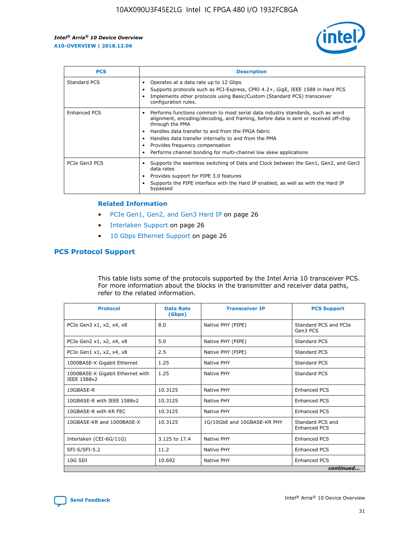

| <b>PCS</b>    | <b>Description</b>                                                                                                                                                                                                                                                                                                                                                                                             |
|---------------|----------------------------------------------------------------------------------------------------------------------------------------------------------------------------------------------------------------------------------------------------------------------------------------------------------------------------------------------------------------------------------------------------------------|
| Standard PCS  | Operates at a data rate up to 12 Gbps<br>Supports protocols such as PCI-Express, CPRI 4.2+, GigE, IEEE 1588 in Hard PCS<br>Implements other protocols using Basic/Custom (Standard PCS) transceiver<br>configuration rules.                                                                                                                                                                                    |
| Enhanced PCS  | Performs functions common to most serial data industry standards, such as word<br>alignment, encoding/decoding, and framing, before data is sent or received off-chip<br>through the PMA<br>• Handles data transfer to and from the FPGA fabric<br>Handles data transfer internally to and from the PMA<br>Provides frequency compensation<br>Performs channel bonding for multi-channel low skew applications |
| PCIe Gen3 PCS | Supports the seamless switching of Data and Clock between the Gen1, Gen2, and Gen3<br>data rates<br>Provides support for PIPE 3.0 features<br>Supports the PIPE interface with the Hard IP enabled, as well as with the Hard IP<br>bypassed                                                                                                                                                                    |

#### **Related Information**

- PCIe Gen1, Gen2, and Gen3 Hard IP on page 26
- Interlaken Support on page 26
- 10 Gbps Ethernet Support on page 26

# **PCS Protocol Support**

This table lists some of the protocols supported by the Intel Arria 10 transceiver PCS. For more information about the blocks in the transmitter and receiver data paths, refer to the related information.

| <b>Protocol</b>                                 | <b>Data Rate</b><br>(Gbps) | <b>Transceiver IP</b>       | <b>PCS Support</b>                      |
|-------------------------------------------------|----------------------------|-----------------------------|-----------------------------------------|
| PCIe Gen3 x1, x2, x4, x8                        | 8.0                        | Native PHY (PIPE)           | Standard PCS and PCIe<br>Gen3 PCS       |
| PCIe Gen2 x1, x2, x4, x8                        | 5.0                        | Native PHY (PIPE)           | <b>Standard PCS</b>                     |
| PCIe Gen1 x1, x2, x4, x8                        | 2.5                        | Native PHY (PIPE)           | Standard PCS                            |
| 1000BASE-X Gigabit Ethernet                     | 1.25                       | Native PHY                  | <b>Standard PCS</b>                     |
| 1000BASE-X Gigabit Ethernet with<br>IEEE 1588v2 | 1.25                       | Native PHY                  | Standard PCS                            |
| 10GBASE-R                                       | 10.3125                    | Native PHY                  | <b>Enhanced PCS</b>                     |
| 10GBASE-R with IEEE 1588v2                      | 10.3125                    | Native PHY                  | <b>Enhanced PCS</b>                     |
| 10GBASE-R with KR FEC                           | 10.3125                    | Native PHY                  | <b>Enhanced PCS</b>                     |
| 10GBASE-KR and 1000BASE-X                       | 10.3125                    | 1G/10GbE and 10GBASE-KR PHY | Standard PCS and<br><b>Enhanced PCS</b> |
| Interlaken (CEI-6G/11G)                         | 3.125 to 17.4              | Native PHY                  | <b>Enhanced PCS</b>                     |
| SFI-S/SFI-5.2                                   | 11.2                       | Native PHY                  | <b>Enhanced PCS</b>                     |
| $10G$ SDI                                       | 10.692                     | Native PHY                  | <b>Enhanced PCS</b>                     |
|                                                 |                            |                             | continued                               |

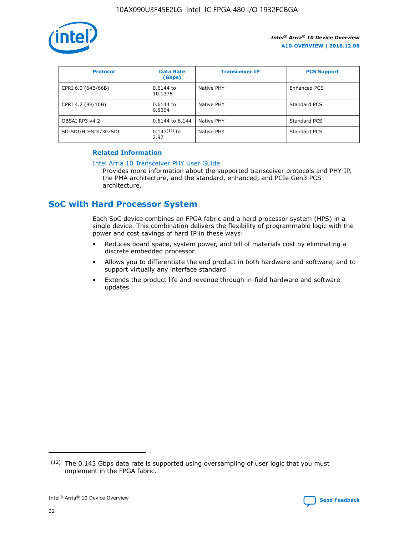

| <b>Protocol</b>      | <b>Data Rate</b><br>(Gbps) | <b>Transceiver IP</b> | <b>PCS Support</b> |
|----------------------|----------------------------|-----------------------|--------------------|
| CPRI 6.0 (64B/66B)   | 0.6144 to<br>10.1376       | Native PHY            | Enhanced PCS       |
| CPRI 4.2 (8B/10B)    | 0.6144 to<br>9.8304        | Native PHY            | Standard PCS       |
| OBSAI RP3 v4.2       | 0.6144 to 6.144            | Native PHY            | Standard PCS       |
| SD-SDI/HD-SDI/3G-SDI | $0.143(12)$ to<br>2.97     | Native PHY            | Standard PCS       |

## **Related Information**

#### [Intel Arria 10 Transceiver PHY User Guide](https://www.intel.com/content/www/us/en/programmable/documentation/nik1398707230472.html#nik1398707091164)

Provides more information about the supported transceiver protocols and PHY IP, the PMA architecture, and the standard, enhanced, and PCIe Gen3 PCS architecture.

# **SoC with Hard Processor System**

Each SoC device combines an FPGA fabric and a hard processor system (HPS) in a single device. This combination delivers the flexibility of programmable logic with the power and cost savings of hard IP in these ways:

- Reduces board space, system power, and bill of materials cost by eliminating a discrete embedded processor
- Allows you to differentiate the end product in both hardware and software, and to support virtually any interface standard
- Extends the product life and revenue through in-field hardware and software updates

 $(12)$  The 0.143 Gbps data rate is supported using oversampling of user logic that you must implement in the FPGA fabric.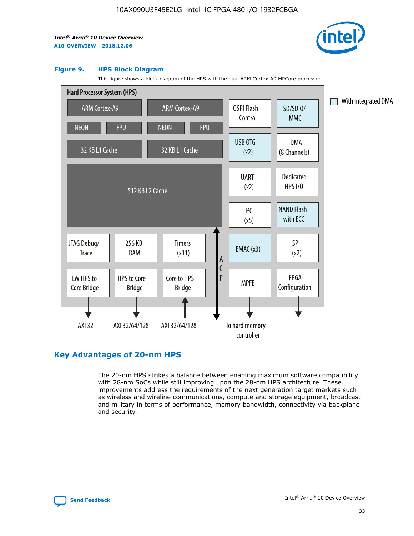

#### **Figure 9. HPS Block Diagram**

This figure shows a block diagram of the HPS with the dual ARM Cortex-A9 MPCore processor.



# **Key Advantages of 20-nm HPS**

The 20-nm HPS strikes a balance between enabling maximum software compatibility with 28-nm SoCs while still improving upon the 28-nm HPS architecture. These improvements address the requirements of the next generation target markets such as wireless and wireline communications, compute and storage equipment, broadcast and military in terms of performance, memory bandwidth, connectivity via backplane and security.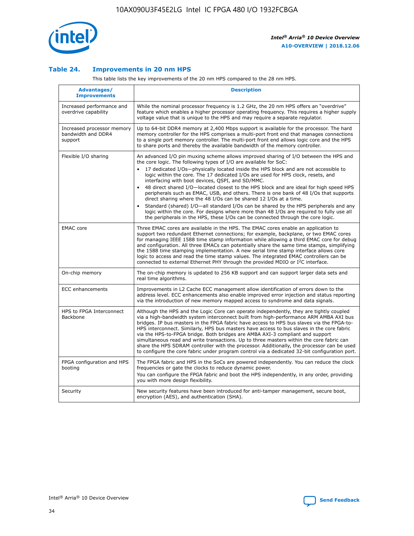

## **Table 24. Improvements in 20 nm HPS**

This table lists the key improvements of the 20 nm HPS compared to the 28 nm HPS.

| Advantages/<br><b>Improvements</b>                          | <b>Description</b>                                                                                                                                                                                                                                                                                                                                                                                                                                                                                                                                                                                                                                                                                                                                                                                                                                                                                                                                |
|-------------------------------------------------------------|---------------------------------------------------------------------------------------------------------------------------------------------------------------------------------------------------------------------------------------------------------------------------------------------------------------------------------------------------------------------------------------------------------------------------------------------------------------------------------------------------------------------------------------------------------------------------------------------------------------------------------------------------------------------------------------------------------------------------------------------------------------------------------------------------------------------------------------------------------------------------------------------------------------------------------------------------|
| Increased performance and<br>overdrive capability           | While the nominal processor frequency is 1.2 GHz, the 20 nm HPS offers an "overdrive"<br>feature which enables a higher processor operating frequency. This requires a higher supply<br>voltage value that is unique to the HPS and may require a separate regulator.                                                                                                                                                                                                                                                                                                                                                                                                                                                                                                                                                                                                                                                                             |
| Increased processor memory<br>bandwidth and DDR4<br>support | Up to 64-bit DDR4 memory at 2,400 Mbps support is available for the processor. The hard<br>memory controller for the HPS comprises a multi-port front end that manages connections<br>to a single port memory controller. The multi-port front end allows logic core and the HPS<br>to share ports and thereby the available bandwidth of the memory controller.                                                                                                                                                                                                                                                                                                                                                                                                                                                                                                                                                                                  |
| Flexible I/O sharing                                        | An advanced I/O pin muxing scheme allows improved sharing of I/O between the HPS and<br>the core logic. The following types of I/O are available for SoC:<br>$\bullet$<br>17 dedicated I/Os-physically located inside the HPS block and are not accessible to<br>logic within the core. The 17 dedicated I/Os are used for HPS clock, resets, and<br>interfacing with boot devices, QSPI, and SD/MMC.<br>48 direct shared I/O-located closest to the HPS block and are ideal for high speed HPS<br>$\bullet$<br>peripherals such as EMAC, USB, and others. There is one bank of 48 I/Os that supports<br>direct sharing where the 48 I/Os can be shared 12 I/Os at a time.<br>Standard (shared) I/O-all standard I/Os can be shared by the HPS peripherals and any<br>logic within the core. For designs where more than 48 I/Os are required to fully use all<br>the peripherals in the HPS, these I/Os can be connected through the core logic. |
| <b>EMAC</b> core                                            | Three EMAC cores are available in the HPS. The EMAC cores enable an application to<br>support two redundant Ethernet connections; for example, backplane, or two EMAC cores<br>for managing IEEE 1588 time stamp information while allowing a third EMAC core for debug<br>and configuration. All three EMACs can potentially share the same time stamps, simplifying<br>the 1588 time stamping implementation. A new serial time stamp interface allows core<br>logic to access and read the time stamp values. The integrated EMAC controllers can be<br>connected to external Ethernet PHY through the provided MDIO or I <sup>2</sup> C interface.                                                                                                                                                                                                                                                                                            |
| On-chip memory                                              | The on-chip memory is updated to 256 KB support and can support larger data sets and<br>real time algorithms.                                                                                                                                                                                                                                                                                                                                                                                                                                                                                                                                                                                                                                                                                                                                                                                                                                     |
| <b>ECC</b> enhancements                                     | Improvements in L2 Cache ECC management allow identification of errors down to the<br>address level. ECC enhancements also enable improved error injection and status reporting<br>via the introduction of new memory mapped access to syndrome and data signals.                                                                                                                                                                                                                                                                                                                                                                                                                                                                                                                                                                                                                                                                                 |
| HPS to FPGA Interconnect<br>Backbone                        | Although the HPS and the Logic Core can operate independently, they are tightly coupled<br>via a high-bandwidth system interconnect built from high-performance ARM AMBA AXI bus<br>bridges. IP bus masters in the FPGA fabric have access to HPS bus slaves via the FPGA-to-<br>HPS interconnect. Similarly, HPS bus masters have access to bus slaves in the core fabric<br>via the HPS-to-FPGA bridge. Both bridges are AMBA AXI-3 compliant and support<br>simultaneous read and write transactions. Up to three masters within the core fabric can<br>share the HPS SDRAM controller with the processor. Additionally, the processor can be used<br>to configure the core fabric under program control via a dedicated 32-bit configuration port.                                                                                                                                                                                            |
| FPGA configuration and HPS<br>booting                       | The FPGA fabric and HPS in the SoCs are powered independently. You can reduce the clock<br>frequencies or gate the clocks to reduce dynamic power.<br>You can configure the FPGA fabric and boot the HPS independently, in any order, providing<br>you with more design flexibility.                                                                                                                                                                                                                                                                                                                                                                                                                                                                                                                                                                                                                                                              |
| Security                                                    | New security features have been introduced for anti-tamper management, secure boot,<br>encryption (AES), and authentication (SHA).                                                                                                                                                                                                                                                                                                                                                                                                                                                                                                                                                                                                                                                                                                                                                                                                                |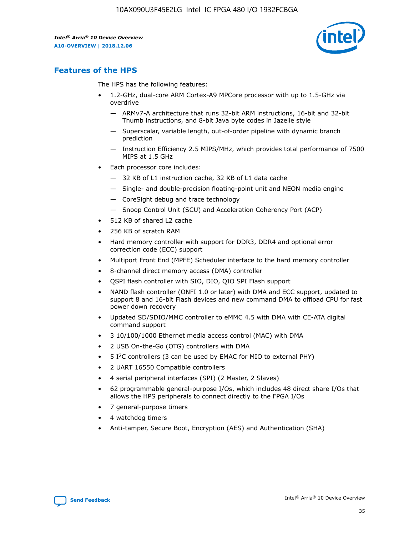

# **Features of the HPS**

The HPS has the following features:

- 1.2-GHz, dual-core ARM Cortex-A9 MPCore processor with up to 1.5-GHz via overdrive
	- ARMv7-A architecture that runs 32-bit ARM instructions, 16-bit and 32-bit Thumb instructions, and 8-bit Java byte codes in Jazelle style
	- Superscalar, variable length, out-of-order pipeline with dynamic branch prediction
	- Instruction Efficiency 2.5 MIPS/MHz, which provides total performance of 7500 MIPS at 1.5 GHz
- Each processor core includes:
	- 32 KB of L1 instruction cache, 32 KB of L1 data cache
	- Single- and double-precision floating-point unit and NEON media engine
	- CoreSight debug and trace technology
	- Snoop Control Unit (SCU) and Acceleration Coherency Port (ACP)
- 512 KB of shared L2 cache
- 256 KB of scratch RAM
- Hard memory controller with support for DDR3, DDR4 and optional error correction code (ECC) support
- Multiport Front End (MPFE) Scheduler interface to the hard memory controller
- 8-channel direct memory access (DMA) controller
- QSPI flash controller with SIO, DIO, QIO SPI Flash support
- NAND flash controller (ONFI 1.0 or later) with DMA and ECC support, updated to support 8 and 16-bit Flash devices and new command DMA to offload CPU for fast power down recovery
- Updated SD/SDIO/MMC controller to eMMC 4.5 with DMA with CE-ATA digital command support
- 3 10/100/1000 Ethernet media access control (MAC) with DMA
- 2 USB On-the-Go (OTG) controllers with DMA
- $\bullet$  5 I<sup>2</sup>C controllers (3 can be used by EMAC for MIO to external PHY)
- 2 UART 16550 Compatible controllers
- 4 serial peripheral interfaces (SPI) (2 Master, 2 Slaves)
- 62 programmable general-purpose I/Os, which includes 48 direct share I/Os that allows the HPS peripherals to connect directly to the FPGA I/Os
- 7 general-purpose timers
- 4 watchdog timers
- Anti-tamper, Secure Boot, Encryption (AES) and Authentication (SHA)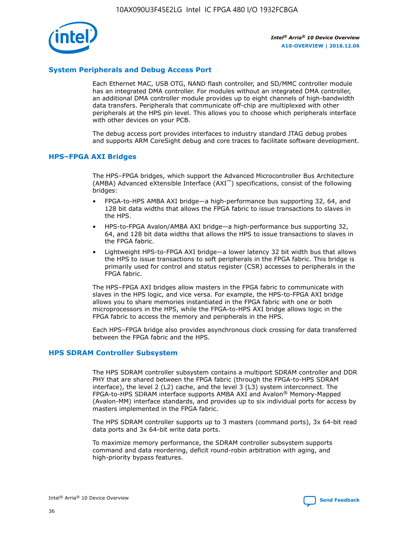

## **System Peripherals and Debug Access Port**

Each Ethernet MAC, USB OTG, NAND flash controller, and SD/MMC controller module has an integrated DMA controller. For modules without an integrated DMA controller, an additional DMA controller module provides up to eight channels of high-bandwidth data transfers. Peripherals that communicate off-chip are multiplexed with other peripherals at the HPS pin level. This allows you to choose which peripherals interface with other devices on your PCB.

The debug access port provides interfaces to industry standard JTAG debug probes and supports ARM CoreSight debug and core traces to facilitate software development.

## **HPS–FPGA AXI Bridges**

The HPS–FPGA bridges, which support the Advanced Microcontroller Bus Architecture (AMBA) Advanced eXtensible Interface (AXI™) specifications, consist of the following bridges:

- FPGA-to-HPS AMBA AXI bridge—a high-performance bus supporting 32, 64, and 128 bit data widths that allows the FPGA fabric to issue transactions to slaves in the HPS.
- HPS-to-FPGA Avalon/AMBA AXI bridge—a high-performance bus supporting 32, 64, and 128 bit data widths that allows the HPS to issue transactions to slaves in the FPGA fabric.
- Lightweight HPS-to-FPGA AXI bridge—a lower latency 32 bit width bus that allows the HPS to issue transactions to soft peripherals in the FPGA fabric. This bridge is primarily used for control and status register (CSR) accesses to peripherals in the FPGA fabric.

The HPS–FPGA AXI bridges allow masters in the FPGA fabric to communicate with slaves in the HPS logic, and vice versa. For example, the HPS-to-FPGA AXI bridge allows you to share memories instantiated in the FPGA fabric with one or both microprocessors in the HPS, while the FPGA-to-HPS AXI bridge allows logic in the FPGA fabric to access the memory and peripherals in the HPS.

Each HPS–FPGA bridge also provides asynchronous clock crossing for data transferred between the FPGA fabric and the HPS.

#### **HPS SDRAM Controller Subsystem**

The HPS SDRAM controller subsystem contains a multiport SDRAM controller and DDR PHY that are shared between the FPGA fabric (through the FPGA-to-HPS SDRAM interface), the level 2 (L2) cache, and the level 3 (L3) system interconnect. The FPGA-to-HPS SDRAM interface supports AMBA AXI and Avalon® Memory-Mapped (Avalon-MM) interface standards, and provides up to six individual ports for access by masters implemented in the FPGA fabric.

The HPS SDRAM controller supports up to 3 masters (command ports), 3x 64-bit read data ports and 3x 64-bit write data ports.

To maximize memory performance, the SDRAM controller subsystem supports command and data reordering, deficit round-robin arbitration with aging, and high-priority bypass features.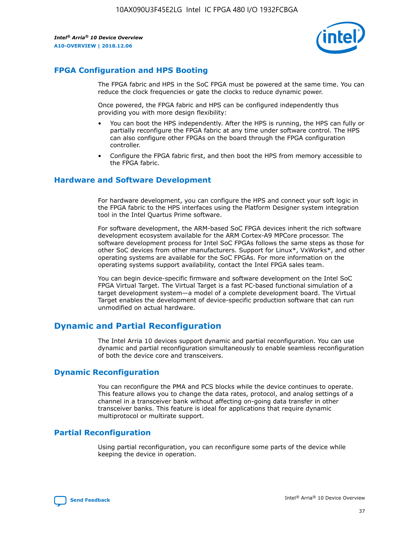

# **FPGA Configuration and HPS Booting**

The FPGA fabric and HPS in the SoC FPGA must be powered at the same time. You can reduce the clock frequencies or gate the clocks to reduce dynamic power.

Once powered, the FPGA fabric and HPS can be configured independently thus providing you with more design flexibility:

- You can boot the HPS independently. After the HPS is running, the HPS can fully or partially reconfigure the FPGA fabric at any time under software control. The HPS can also configure other FPGAs on the board through the FPGA configuration controller.
- Configure the FPGA fabric first, and then boot the HPS from memory accessible to the FPGA fabric.

## **Hardware and Software Development**

For hardware development, you can configure the HPS and connect your soft logic in the FPGA fabric to the HPS interfaces using the Platform Designer system integration tool in the Intel Quartus Prime software.

For software development, the ARM-based SoC FPGA devices inherit the rich software development ecosystem available for the ARM Cortex-A9 MPCore processor. The software development process for Intel SoC FPGAs follows the same steps as those for other SoC devices from other manufacturers. Support for Linux\*, VxWorks\*, and other operating systems are available for the SoC FPGAs. For more information on the operating systems support availability, contact the Intel FPGA sales team.

You can begin device-specific firmware and software development on the Intel SoC FPGA Virtual Target. The Virtual Target is a fast PC-based functional simulation of a target development system—a model of a complete development board. The Virtual Target enables the development of device-specific production software that can run unmodified on actual hardware.

# **Dynamic and Partial Reconfiguration**

The Intel Arria 10 devices support dynamic and partial reconfiguration. You can use dynamic and partial reconfiguration simultaneously to enable seamless reconfiguration of both the device core and transceivers.

# **Dynamic Reconfiguration**

You can reconfigure the PMA and PCS blocks while the device continues to operate. This feature allows you to change the data rates, protocol, and analog settings of a channel in a transceiver bank without affecting on-going data transfer in other transceiver banks. This feature is ideal for applications that require dynamic multiprotocol or multirate support.

# **Partial Reconfiguration**

Using partial reconfiguration, you can reconfigure some parts of the device while keeping the device in operation.

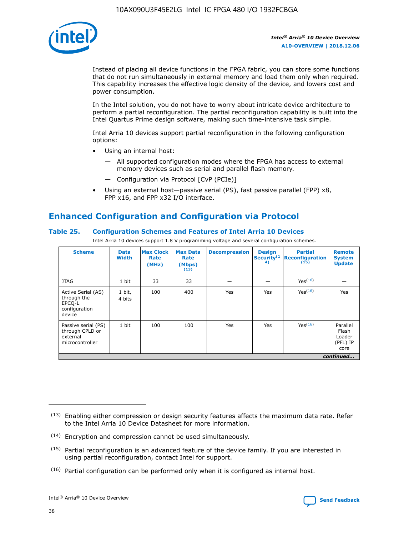

Instead of placing all device functions in the FPGA fabric, you can store some functions that do not run simultaneously in external memory and load them only when required. This capability increases the effective logic density of the device, and lowers cost and power consumption.

In the Intel solution, you do not have to worry about intricate device architecture to perform a partial reconfiguration. The partial reconfiguration capability is built into the Intel Quartus Prime design software, making such time-intensive task simple.

Intel Arria 10 devices support partial reconfiguration in the following configuration options:

- Using an internal host:
	- All supported configuration modes where the FPGA has access to external memory devices such as serial and parallel flash memory.
	- Configuration via Protocol [CvP (PCIe)]
- Using an external host—passive serial (PS), fast passive parallel (FPP) x8, FPP x16, and FPP x32 I/O interface.

# **Enhanced Configuration and Configuration via Protocol**

## **Table 25. Configuration Schemes and Features of Intel Arria 10 Devices**

Intel Arria 10 devices support 1.8 V programming voltage and several configuration schemes.

| <b>Scheme</b>                                                          | <b>Data</b><br><b>Width</b> | <b>Max Clock</b><br>Rate<br>(MHz) | <b>Max Data</b><br>Rate<br>(Mbps)<br>(13) | <b>Decompression</b> | <b>Design</b><br>Security <sup>(1</sup><br>4) | <b>Partial</b><br>Reconfiguration<br>(15) | <b>Remote</b><br><b>System</b><br><b>Update</b> |
|------------------------------------------------------------------------|-----------------------------|-----------------------------------|-------------------------------------------|----------------------|-----------------------------------------------|-------------------------------------------|-------------------------------------------------|
| <b>JTAG</b>                                                            | 1 bit                       | 33                                | 33                                        |                      |                                               | Yes <sup>(16)</sup>                       |                                                 |
| Active Serial (AS)<br>through the<br>EPCO-L<br>configuration<br>device | 1 bit,<br>4 bits            | 100                               | 400                                       | Yes                  | Yes                                           | $Y_{PS}(16)$                              | Yes                                             |
| Passive serial (PS)<br>through CPLD or<br>external<br>microcontroller  | 1 bit                       | 100                               | 100                                       | Yes                  | Yes                                           | Yes(16)                                   | Parallel<br>Flash<br>Loader<br>(PFL) IP<br>core |
|                                                                        |                             |                                   |                                           |                      |                                               |                                           | continued                                       |

<sup>(13)</sup> Enabling either compression or design security features affects the maximum data rate. Refer to the Intel Arria 10 Device Datasheet for more information.

<sup>(14)</sup> Encryption and compression cannot be used simultaneously.

 $<sup>(15)</sup>$  Partial reconfiguration is an advanced feature of the device family. If you are interested in</sup> using partial reconfiguration, contact Intel for support.

 $(16)$  Partial configuration can be performed only when it is configured as internal host.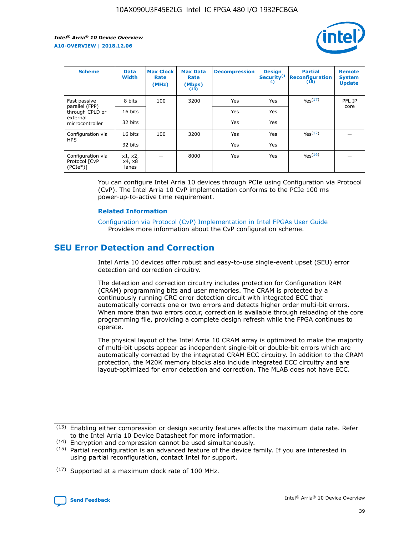

| <b>Scheme</b>                                    | <b>Data</b><br><b>Width</b> | <b>Max Clock</b><br>Rate<br>(MHz) | <b>Max Data</b><br>Rate<br>(Mbps)<br>(13) | <b>Decompression</b> | <b>Design</b><br>Security <sup>(1</sup><br>4) | <b>Partial</b><br><b>Reconfiguration</b><br>(15) | <b>Remote</b><br><b>System</b><br><b>Update</b> |
|--------------------------------------------------|-----------------------------|-----------------------------------|-------------------------------------------|----------------------|-----------------------------------------------|--------------------------------------------------|-------------------------------------------------|
| Fast passive                                     | 8 bits                      | 100                               | 3200                                      | Yes                  | Yes                                           | Yes(17)                                          | PFL IP                                          |
| parallel (FPP)<br>through CPLD or                | 16 bits                     |                                   |                                           | Yes                  | Yes                                           |                                                  | core                                            |
| external<br>microcontroller                      | 32 bits                     |                                   |                                           | Yes                  | Yes                                           |                                                  |                                                 |
| Configuration via                                | 16 bits                     | 100                               | 3200                                      | Yes                  | Yes                                           | Yes <sup>(17)</sup>                              |                                                 |
| <b>HPS</b>                                       | 32 bits                     |                                   |                                           | Yes                  | Yes                                           |                                                  |                                                 |
| Configuration via<br>Protocol [CvP<br>$(PCIe^*)$ | x1, x2,<br>x4, x8<br>lanes  |                                   | 8000                                      | Yes                  | Yes                                           | Yes <sup>(16)</sup>                              |                                                 |

You can configure Intel Arria 10 devices through PCIe using Configuration via Protocol (CvP). The Intel Arria 10 CvP implementation conforms to the PCIe 100 ms power-up-to-active time requirement.

#### **Related Information**

[Configuration via Protocol \(CvP\) Implementation in Intel FPGAs User Guide](https://www.intel.com/content/www/us/en/programmable/documentation/dsu1441819344145.html#dsu1442269728522) Provides more information about the CvP configuration scheme.

# **SEU Error Detection and Correction**

Intel Arria 10 devices offer robust and easy-to-use single-event upset (SEU) error detection and correction circuitry.

The detection and correction circuitry includes protection for Configuration RAM (CRAM) programming bits and user memories. The CRAM is protected by a continuously running CRC error detection circuit with integrated ECC that automatically corrects one or two errors and detects higher order multi-bit errors. When more than two errors occur, correction is available through reloading of the core programming file, providing a complete design refresh while the FPGA continues to operate.

The physical layout of the Intel Arria 10 CRAM array is optimized to make the majority of multi-bit upsets appear as independent single-bit or double-bit errors which are automatically corrected by the integrated CRAM ECC circuitry. In addition to the CRAM protection, the M20K memory blocks also include integrated ECC circuitry and are layout-optimized for error detection and correction. The MLAB does not have ECC.

(14) Encryption and compression cannot be used simultaneously.

<sup>(17)</sup> Supported at a maximum clock rate of 100 MHz.



 $(13)$  Enabling either compression or design security features affects the maximum data rate. Refer to the Intel Arria 10 Device Datasheet for more information.

 $(15)$  Partial reconfiguration is an advanced feature of the device family. If you are interested in using partial reconfiguration, contact Intel for support.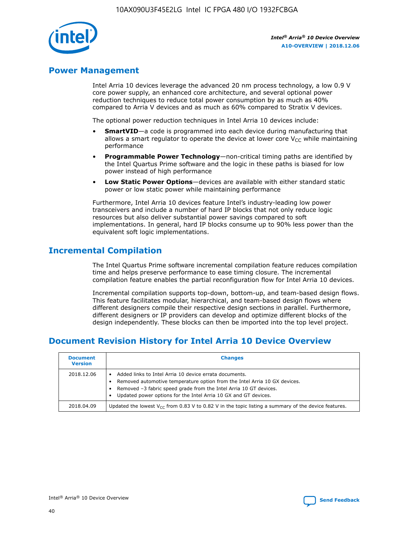

# **Power Management**

Intel Arria 10 devices leverage the advanced 20 nm process technology, a low 0.9 V core power supply, an enhanced core architecture, and several optional power reduction techniques to reduce total power consumption by as much as 40% compared to Arria V devices and as much as 60% compared to Stratix V devices.

The optional power reduction techniques in Intel Arria 10 devices include:

- **SmartVID**—a code is programmed into each device during manufacturing that allows a smart regulator to operate the device at lower core  $V_{CC}$  while maintaining performance
- **Programmable Power Technology**—non-critical timing paths are identified by the Intel Quartus Prime software and the logic in these paths is biased for low power instead of high performance
- **Low Static Power Options**—devices are available with either standard static power or low static power while maintaining performance

Furthermore, Intel Arria 10 devices feature Intel's industry-leading low power transceivers and include a number of hard IP blocks that not only reduce logic resources but also deliver substantial power savings compared to soft implementations. In general, hard IP blocks consume up to 90% less power than the equivalent soft logic implementations.

# **Incremental Compilation**

The Intel Quartus Prime software incremental compilation feature reduces compilation time and helps preserve performance to ease timing closure. The incremental compilation feature enables the partial reconfiguration flow for Intel Arria 10 devices.

Incremental compilation supports top-down, bottom-up, and team-based design flows. This feature facilitates modular, hierarchical, and team-based design flows where different designers compile their respective design sections in parallel. Furthermore, different designers or IP providers can develop and optimize different blocks of the design independently. These blocks can then be imported into the top level project.

# **Document Revision History for Intel Arria 10 Device Overview**

| <b>Document</b><br><b>Version</b> | <b>Changes</b>                                                                                                                                                                                                                                                              |
|-----------------------------------|-----------------------------------------------------------------------------------------------------------------------------------------------------------------------------------------------------------------------------------------------------------------------------|
| 2018.12.06                        | Added links to Intel Arria 10 device errata documents.<br>Removed automotive temperature option from the Intel Arria 10 GX devices.<br>Removed -3 fabric speed grade from the Intel Arria 10 GT devices.<br>Updated power options for the Intel Arria 10 GX and GT devices. |
| 2018.04.09                        | Updated the lowest $V_{CC}$ from 0.83 V to 0.82 V in the topic listing a summary of the device features.                                                                                                                                                                    |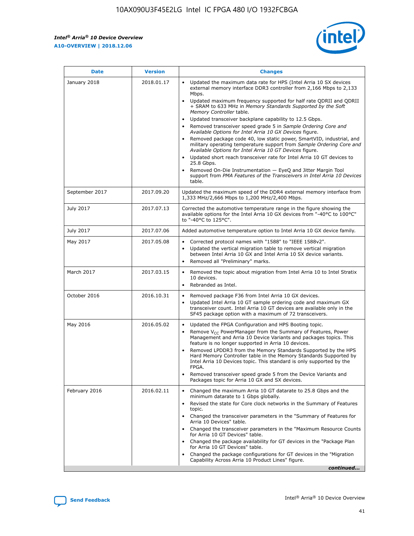*Intel® Arria® 10 Device Overview* **A10-OVERVIEW | 2018.12.06**



| <b>Date</b>    | <b>Version</b> | <b>Changes</b>                                                                                                                                                                                                                                                                                                                                                                                                                                                                                                                                                                                                                                                                                                                                                                                                                                                                                                                                                                         |
|----------------|----------------|----------------------------------------------------------------------------------------------------------------------------------------------------------------------------------------------------------------------------------------------------------------------------------------------------------------------------------------------------------------------------------------------------------------------------------------------------------------------------------------------------------------------------------------------------------------------------------------------------------------------------------------------------------------------------------------------------------------------------------------------------------------------------------------------------------------------------------------------------------------------------------------------------------------------------------------------------------------------------------------|
| January 2018   | 2018.01.17     | Updated the maximum data rate for HPS (Intel Arria 10 SX devices<br>external memory interface DDR3 controller from 2,166 Mbps to 2,133<br>Mbps.<br>Updated maximum frequency supported for half rate QDRII and QDRII<br>+ SRAM to 633 MHz in Memory Standards Supported by the Soft<br>Memory Controller table.<br>Updated transceiver backplane capability to 12.5 Gbps.<br>$\bullet$<br>Removed transceiver speed grade 5 in Sample Ordering Core and<br>$\bullet$<br>Available Options for Intel Arria 10 GX Devices figure.<br>Removed package code 40, low static power, SmartVID, industrial, and<br>military operating temperature support from Sample Ordering Core and<br>Available Options for Intel Arria 10 GT Devices figure.<br>Updated short reach transceiver rate for Intel Arria 10 GT devices to<br>25.8 Gbps.<br>Removed On-Die Instrumentation - EyeQ and Jitter Margin Tool<br>support from PMA Features of the Transceivers in Intel Arria 10 Devices<br>table. |
| September 2017 | 2017.09.20     | Updated the maximum speed of the DDR4 external memory interface from<br>1,333 MHz/2,666 Mbps to 1,200 MHz/2,400 Mbps.                                                                                                                                                                                                                                                                                                                                                                                                                                                                                                                                                                                                                                                                                                                                                                                                                                                                  |
| July 2017      | 2017.07.13     | Corrected the automotive temperature range in the figure showing the<br>available options for the Intel Arria 10 GX devices from "-40°C to 100°C"<br>to "-40°C to 125°C".                                                                                                                                                                                                                                                                                                                                                                                                                                                                                                                                                                                                                                                                                                                                                                                                              |
| July 2017      | 2017.07.06     | Added automotive temperature option to Intel Arria 10 GX device family.                                                                                                                                                                                                                                                                                                                                                                                                                                                                                                                                                                                                                                                                                                                                                                                                                                                                                                                |
| May 2017       | 2017.05.08     | Corrected protocol names with "1588" to "IEEE 1588v2".<br>$\bullet$<br>Updated the vertical migration table to remove vertical migration<br>$\bullet$<br>between Intel Arria 10 GX and Intel Arria 10 SX device variants.<br>Removed all "Preliminary" marks.<br>$\bullet$                                                                                                                                                                                                                                                                                                                                                                                                                                                                                                                                                                                                                                                                                                             |
| March 2017     | 2017.03.15     | Removed the topic about migration from Intel Arria 10 to Intel Stratix<br>$\bullet$<br>10 devices.<br>Rebranded as Intel.<br>$\bullet$                                                                                                                                                                                                                                                                                                                                                                                                                                                                                                                                                                                                                                                                                                                                                                                                                                                 |
| October 2016   | 2016.10.31     | Removed package F36 from Intel Arria 10 GX devices.<br>Updated Intel Arria 10 GT sample ordering code and maximum GX<br>$\bullet$<br>transceiver count. Intel Arria 10 GT devices are available only in the<br>SF45 package option with a maximum of 72 transceivers.                                                                                                                                                                                                                                                                                                                                                                                                                                                                                                                                                                                                                                                                                                                  |
| May 2016       | 2016.05.02     | Updated the FPGA Configuration and HPS Booting topic.<br>$\bullet$<br>Remove V <sub>CC</sub> PowerManager from the Summary of Features, Power<br>Management and Arria 10 Device Variants and packages topics. This<br>feature is no longer supported in Arria 10 devices.<br>Removed LPDDR3 from the Memory Standards Supported by the HPS<br>Hard Memory Controller table in the Memory Standards Supported by<br>Intel Arria 10 Devices topic. This standard is only supported by the<br>FPGA.<br>Removed transceiver speed grade 5 from the Device Variants and<br>Packages topic for Arria 10 GX and SX devices.                                                                                                                                                                                                                                                                                                                                                                   |
| February 2016  | 2016.02.11     | Changed the maximum Arria 10 GT datarate to 25.8 Gbps and the<br>minimum datarate to 1 Gbps globally.<br>Revised the state for Core clock networks in the Summary of Features<br>$\bullet$<br>topic.<br>Changed the transceiver parameters in the "Summary of Features for<br>$\bullet$<br>Arria 10 Devices" table.<br>• Changed the transceiver parameters in the "Maximum Resource Counts<br>for Arria 10 GT Devices" table.<br>Changed the package availability for GT devices in the "Package Plan<br>for Arria 10 GT Devices" table.<br>Changed the package configurations for GT devices in the "Migration"<br>Capability Across Arria 10 Product Lines" figure.<br>continued                                                                                                                                                                                                                                                                                                    |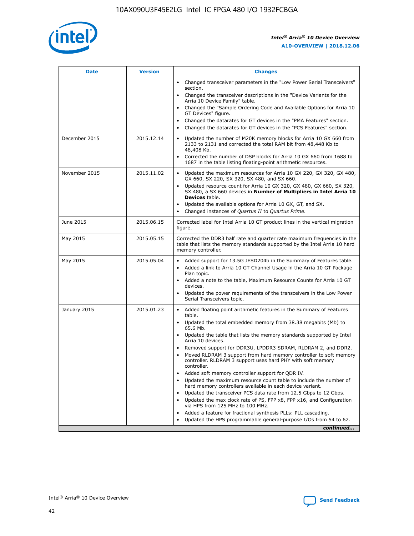

| <b>Date</b>   | <b>Version</b> | <b>Changes</b>                                                                                                                                                               |
|---------------|----------------|------------------------------------------------------------------------------------------------------------------------------------------------------------------------------|
|               |                | • Changed transceiver parameters in the "Low Power Serial Transceivers"<br>section.                                                                                          |
|               |                | • Changed the transceiver descriptions in the "Device Variants for the<br>Arria 10 Device Family" table.                                                                     |
|               |                | Changed the "Sample Ordering Code and Available Options for Arria 10<br>$\bullet$<br>GT Devices" figure.                                                                     |
|               |                | Changed the datarates for GT devices in the "PMA Features" section.                                                                                                          |
|               |                | Changed the datarates for GT devices in the "PCS Features" section.<br>$\bullet$                                                                                             |
| December 2015 | 2015.12.14     | Updated the number of M20K memory blocks for Arria 10 GX 660 from<br>2133 to 2131 and corrected the total RAM bit from 48,448 Kb to<br>48,408 Kb.                            |
|               |                | Corrected the number of DSP blocks for Arria 10 GX 660 from 1688 to<br>1687 in the table listing floating-point arithmetic resources.                                        |
| November 2015 | 2015.11.02     | Updated the maximum resources for Arria 10 GX 220, GX 320, GX 480,<br>$\bullet$<br>GX 660, SX 220, SX 320, SX 480, and SX 660.                                               |
|               |                | • Updated resource count for Arria 10 GX 320, GX 480, GX 660, SX 320,<br>SX 480, a SX 660 devices in Number of Multipliers in Intel Arria 10<br><b>Devices</b> table.        |
|               |                | Updated the available options for Arria 10 GX, GT, and SX.                                                                                                                   |
|               |                | Changed instances of Quartus II to Quartus Prime.<br>$\bullet$                                                                                                               |
| June 2015     | 2015.06.15     | Corrected label for Intel Arria 10 GT product lines in the vertical migration<br>figure.                                                                                     |
| May 2015      | 2015.05.15     | Corrected the DDR3 half rate and quarter rate maximum frequencies in the<br>table that lists the memory standards supported by the Intel Arria 10 hard<br>memory controller. |
| May 2015      | 2015.05.04     | • Added support for 13.5G JESD204b in the Summary of Features table.<br>• Added a link to Arria 10 GT Channel Usage in the Arria 10 GT Package<br>Plan topic.                |
|               |                | • Added a note to the table, Maximum Resource Counts for Arria 10 GT<br>devices.                                                                                             |
|               |                | • Updated the power requirements of the transceivers in the Low Power<br>Serial Transceivers topic.                                                                          |
| January 2015  | 2015.01.23     | • Added floating point arithmetic features in the Summary of Features<br>table.                                                                                              |
|               |                | • Updated the total embedded memory from 38.38 megabits (Mb) to<br>65.6 Mb.                                                                                                  |
|               |                | • Updated the table that lists the memory standards supported by Intel<br>Arria 10 devices.                                                                                  |
|               |                | Removed support for DDR3U, LPDDR3 SDRAM, RLDRAM 2, and DDR2.                                                                                                                 |
|               |                | Moved RLDRAM 3 support from hard memory controller to soft memory<br>controller. RLDRAM 3 support uses hard PHY with soft memory<br>controller.                              |
|               |                | Added soft memory controller support for QDR IV.<br>٠                                                                                                                        |
|               |                | Updated the maximum resource count table to include the number of<br>hard memory controllers available in each device variant.                                               |
|               |                | Updated the transceiver PCS data rate from 12.5 Gbps to 12 Gbps.<br>$\bullet$                                                                                                |
|               |                | Updated the max clock rate of PS, FPP x8, FPP x16, and Configuration<br>via HPS from 125 MHz to 100 MHz.                                                                     |
|               |                | Added a feature for fractional synthesis PLLs: PLL cascading.                                                                                                                |
|               |                | Updated the HPS programmable general-purpose I/Os from 54 to 62.<br>$\bullet$<br>continued                                                                                   |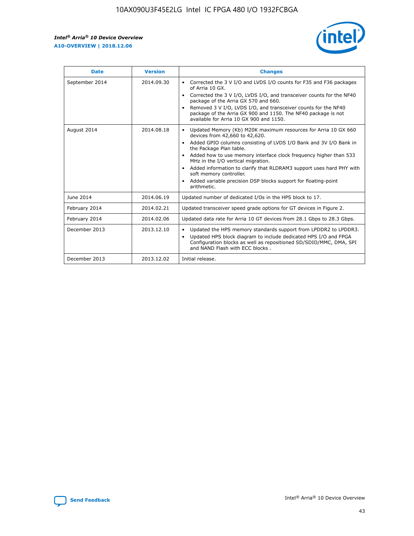r



| <b>Date</b>    | <b>Version</b> | <b>Changes</b>                                                                                                                                                                                                                                                                                                                                                                                                                                                                                                                                      |
|----------------|----------------|-----------------------------------------------------------------------------------------------------------------------------------------------------------------------------------------------------------------------------------------------------------------------------------------------------------------------------------------------------------------------------------------------------------------------------------------------------------------------------------------------------------------------------------------------------|
| September 2014 | 2014.09.30     | Corrected the 3 V I/O and LVDS I/O counts for F35 and F36 packages<br>$\bullet$<br>of Arria 10 GX.<br>Corrected the 3 V I/O, LVDS I/O, and transceiver counts for the NF40<br>$\bullet$<br>package of the Arria GX 570 and 660.<br>Removed 3 V I/O, LVDS I/O, and transceiver counts for the NF40<br>$\bullet$<br>package of the Arria GX 900 and 1150. The NF40 package is not<br>available for Arria 10 GX 900 and 1150.                                                                                                                          |
| August 2014    | 2014.08.18     | Updated Memory (Kb) M20K maximum resources for Arria 10 GX 660<br>devices from 42,660 to 42,620.<br>Added GPIO columns consisting of LVDS I/O Bank and 3V I/O Bank in<br>$\bullet$<br>the Package Plan table.<br>Added how to use memory interface clock frequency higher than 533<br>$\bullet$<br>MHz in the I/O vertical migration.<br>Added information to clarify that RLDRAM3 support uses hard PHY with<br>$\bullet$<br>soft memory controller.<br>Added variable precision DSP blocks support for floating-point<br>$\bullet$<br>arithmetic. |
| June 2014      | 2014.06.19     | Updated number of dedicated I/Os in the HPS block to 17.                                                                                                                                                                                                                                                                                                                                                                                                                                                                                            |
| February 2014  | 2014.02.21     | Updated transceiver speed grade options for GT devices in Figure 2.                                                                                                                                                                                                                                                                                                                                                                                                                                                                                 |
| February 2014  | 2014.02.06     | Updated data rate for Arria 10 GT devices from 28.1 Gbps to 28.3 Gbps.                                                                                                                                                                                                                                                                                                                                                                                                                                                                              |
| December 2013  | 2013.12.10     | Updated the HPS memory standards support from LPDDR2 to LPDDR3.<br>Updated HPS block diagram to include dedicated HPS I/O and FPGA<br>$\bullet$<br>Configuration blocks as well as repositioned SD/SDIO/MMC, DMA, SPI<br>and NAND Flash with ECC blocks.                                                                                                                                                                                                                                                                                            |
| December 2013  | 2013.12.02     | Initial release.                                                                                                                                                                                                                                                                                                                                                                                                                                                                                                                                    |